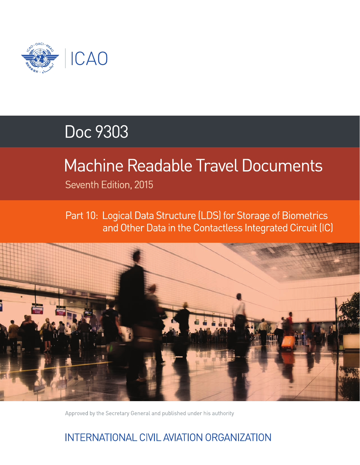

# Doc 9303

# **Machine Readable Travel Documents**

Seventh Edition, 2015

Part 10: Logical Data Structure (LDS) for Storage of Biometrics and Other Data in the Contactless Integrated Circuit (IC)



Approved by the Secretary General and published under his authority

## INTERNATIONAL CIVIL AVIATION ORGANIZATION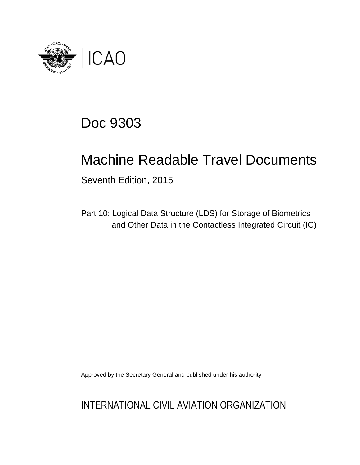

## Doc 9303

## Machine Readable Travel Documents

Seventh Edition, 2015

Part 10: Logical Data Structure (LDS) for Storage of Biometrics and Other Data in the Contactless Integrated Circuit (IC)

Approved by the Secretary General and published under his authority

INTERNATIONAL CIVIL AVIATION ORGANIZATION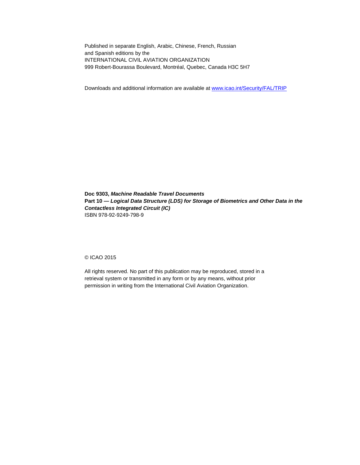Published in separate English, Arabic, Chinese, French, Russian and Spanish editions by the INTERNATIONAL CIVIL AVIATION ORGANIZATION 999 Robert-Bourassa Boulevard, Montréal, Quebec, Canada H3C 5H7

Downloads and additional information are available at www.icao.int/Security/FAL/TRIP

**Doc 9303,** *Machine Readable Travel Documents* **Part 10 —** *Logical Data Structure (LDS) for Storage of Biometrics and Other Data in the Contactless Integrated Circuit (IC)* ISBN 978-92-9249-798-9

© ICAO 2015

All rights reserved. No part of this publication may be reproduced, stored in a retrieval system or transmitted in any form or by any means, without prior permission in writing from the International Civil Aviation Organization.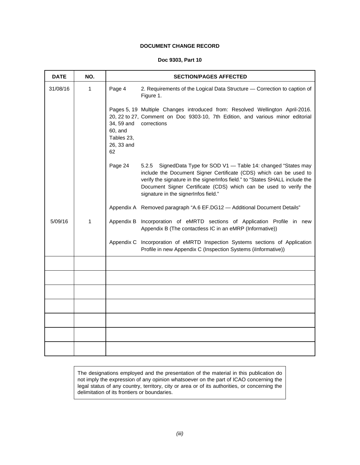### **DOCUMENT CHANGE RECORD**

#### **Doc 9303, Part 10**

| <b>DATE</b> | NO. |                                                         | <b>SECTION/PAGES AFFECTED</b>                                                                                                                                                                                                                                                                                                          |  |  |  |  |  |
|-------------|-----|---------------------------------------------------------|----------------------------------------------------------------------------------------------------------------------------------------------------------------------------------------------------------------------------------------------------------------------------------------------------------------------------------------|--|--|--|--|--|
| 31/08/16    | 1   | Page 4                                                  | 2. Requirements of the Logical Data Structure - Correction to caption of<br>Figure 1.                                                                                                                                                                                                                                                  |  |  |  |  |  |
|             |     | 34, 59 and<br>60, and<br>Tables 23,<br>26, 33 and<br>62 | Pages 5, 19 Multiple Changes introduced from: Resolved Wellington April-2016.<br>20, 22 to 27, Comment on Doc 9303-10, 7th Edition, and various minor editorial<br>corrections                                                                                                                                                         |  |  |  |  |  |
|             |     | Page 24                                                 | 5.2.5<br>SignedData Type for SOD V1 - Table 14: changed "States may<br>include the Document Signer Certificate (CDS) which can be used to<br>verify the signature in the signerInfos field." to "States SHALL include the<br>Document Signer Certificate (CDS) which can be used to verify the<br>signature in the signerInfos field." |  |  |  |  |  |
|             |     |                                                         | Appendix A Removed paragraph "A.6 EF.DG12 - Additional Document Details"                                                                                                                                                                                                                                                               |  |  |  |  |  |
| 5/09/16     | 1   |                                                         | Appendix B Incorporation of eMRTD sections of Application Profile in new<br>Appendix B (The contactless IC in an eMRP (Informative))                                                                                                                                                                                                   |  |  |  |  |  |
|             |     | Appendix C                                              | Incorporation of eMRTD Inspection Systems sections of Application<br>Profile in new Appendix C (Inspection Systems (iInformative))                                                                                                                                                                                                     |  |  |  |  |  |
|             |     |                                                         |                                                                                                                                                                                                                                                                                                                                        |  |  |  |  |  |
|             |     |                                                         |                                                                                                                                                                                                                                                                                                                                        |  |  |  |  |  |
|             |     |                                                         |                                                                                                                                                                                                                                                                                                                                        |  |  |  |  |  |
|             |     |                                                         |                                                                                                                                                                                                                                                                                                                                        |  |  |  |  |  |
|             |     |                                                         |                                                                                                                                                                                                                                                                                                                                        |  |  |  |  |  |
|             |     |                                                         |                                                                                                                                                                                                                                                                                                                                        |  |  |  |  |  |
|             |     |                                                         |                                                                                                                                                                                                                                                                                                                                        |  |  |  |  |  |

The designations employed and the presentation of the material in this publication do not imply the expression of any opinion whatsoever on the part of ICAO concerning the legal status of any country, territory, city or area or of its authorities, or concerning the delimitation of its frontiers or boundaries.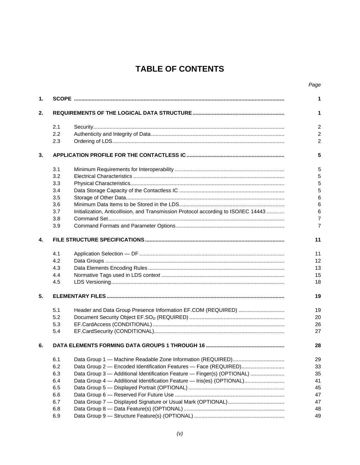## **TABLE OF CONTENTS**

| 1. |     |                                                                                     | 1                       |
|----|-----|-------------------------------------------------------------------------------------|-------------------------|
| 2. |     |                                                                                     | 1                       |
|    | 2.1 |                                                                                     | $\overline{c}$          |
|    | 2.2 |                                                                                     | $\overline{2}$          |
|    | 2.3 |                                                                                     | 2                       |
| 3. |     |                                                                                     |                         |
|    | 3.1 |                                                                                     | 5                       |
|    | 3.2 |                                                                                     | 5                       |
|    | 3.3 |                                                                                     |                         |
|    | 3.4 |                                                                                     |                         |
|    | 3.5 |                                                                                     | $6\phantom{1}6$         |
|    | 3.6 |                                                                                     | $6\phantom{1}6$         |
|    | 3.7 | Initialization, Anticollision, and Transmission Protocol according to ISO/IEC 14443 |                         |
|    | 3.8 |                                                                                     | $\,6$<br>$\overline{7}$ |
|    | 3.9 |                                                                                     |                         |
| 4. |     |                                                                                     | 11                      |
|    | 4.1 |                                                                                     | 11                      |
|    | 4.2 |                                                                                     | 12                      |
|    | 4.3 |                                                                                     | 13                      |
|    | 4.4 |                                                                                     | 15                      |
|    | 4.5 |                                                                                     | 18                      |
| 5. |     |                                                                                     | 19                      |
|    | 5.1 |                                                                                     | 19                      |
|    | 5.2 |                                                                                     | 20                      |
|    | 5.3 |                                                                                     | 26                      |
|    | 5.4 |                                                                                     | 27                      |
| 6. |     |                                                                                     | 28                      |
|    | 6.1 |                                                                                     | 29                      |
|    | 6.2 | Data Group 2 - Encoded Identification Features - Face (REQUIRED)                    | 33                      |
|    | 6.3 | Data Group 3 - Additional Identification Feature - Finger(s) (OPTIONAL)             | 35                      |
|    | 6.4 | Data Group 4 - Additional Identification Feature - Iris(es) (OPTIONAL)              | 41                      |
|    | 6.5 |                                                                                     | 45                      |
|    | 6.6 |                                                                                     | 47                      |
|    | 6.7 |                                                                                     | 47                      |
|    | 6.8 |                                                                                     | 48                      |
|    | 6.9 |                                                                                     | 49                      |
|    |     |                                                                                     |                         |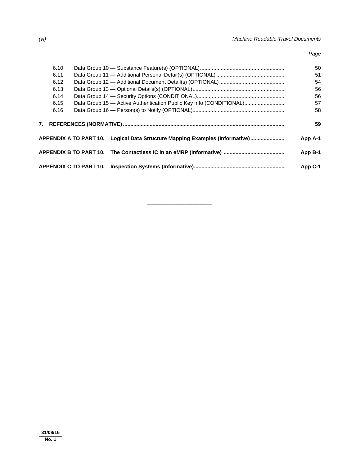*Page* 

| 6.10 |                                                                              |                                                                     | 50      |
|------|------------------------------------------------------------------------------|---------------------------------------------------------------------|---------|
| 6.11 |                                                                              |                                                                     | 51      |
| 6.12 |                                                                              |                                                                     | 54      |
| 6.13 |                                                                              |                                                                     | 56      |
| 6.14 |                                                                              |                                                                     | 56      |
| 6.15 |                                                                              | Data Group 15 - Active Authentication Public Key Info (CONDITIONAL) | 57      |
| 6.16 |                                                                              |                                                                     | 58      |
|      |                                                                              |                                                                     | 59      |
|      | APPENDIX A TO PART 10. Logical Data Structure Mapping Examples (Informative) |                                                                     | App A-1 |
|      |                                                                              |                                                                     |         |
|      |                                                                              |                                                                     | App B-1 |

 $\overline{\phantom{a}}$  , and the set of the set of the set of the set of the set of the set of the set of the set of the set of the set of the set of the set of the set of the set of the set of the set of the set of the set of the s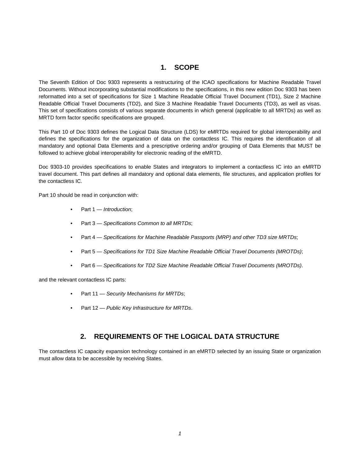## **1. SCOPE**

The Seventh Edition of Doc 9303 represents a restructuring of the ICAO specifications for Machine Readable Travel Documents. Without incorporating substantial modifications to the specifications, in this new edition Doc 9303 has been reformatted into a set of specifications for Size 1 Machine Readable Official Travel Document (TD1), Size 2 Machine Readable Official Travel Documents (TD2), and Size 3 Machine Readable Travel Documents (TD3), as well as visas. This set of specifications consists of various separate documents in which general (applicable to all MRTDs) as well as MRTD form factor specific specifications are grouped.

This Part 10 of Doc 9303 defines the Logical Data Structure (LDS) for eMRTDs required for global interoperability and defines the specifications for the organization of data on the contactless IC. This requires the identification of all mandatory and optional Data Elements and a prescriptive ordering and/or grouping of Data Elements that MUST be followed to achieve global interoperability for electronic reading of the eMRTD.

Doc 9303-10 provides specifications to enable States and integrators to implement a contactless IC into an eMRTD travel document. This part defines all mandatory and optional data elements, file structures, and application profiles for the contactless IC.

Part 10 should be read in conjunction with:

- Part 1 *Introduction*;
- Part 3 *Specifications Common to all MRTDs*;
- Part 4 *Specifications for Machine Readable Passports (MRP) and other TD3 size MRTDs*;
- Part 5 *Specifications for TD1 Size Machine Readable Official Travel Documents (MROTDs)*;
- Part 6 *Specifications for TD2 Size Machine Readable Official Travel Documents (MROTDs)*.

and the relevant contactless IC parts:

- Part 11 *Security Mechanisms for MRTDs*;
- Part 12 *Public Key Infrastructure for MRTDs*.

### **2. REQUIREMENTS OF THE LOGICAL DATA STRUCTURE**

The contactless IC capacity expansion technology contained in an eMRTD selected by an issuing State or organization must allow data to be accessible by receiving States.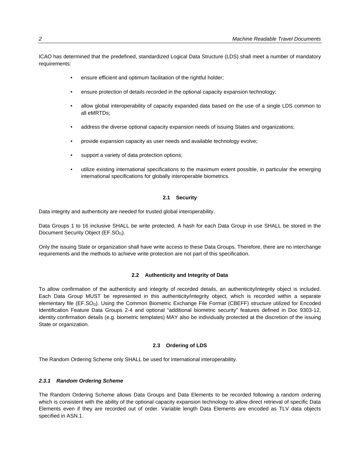ICAO has determined that the predefined, standardized Logical Data Structure (LDS) shall meet a number of mandatory requirements:

- ensure efficient and optimum facilitation of the rightful holder;
- ensure protection of details recorded in the optional capacity expansion technology;
- allow global interoperability of capacity expanded data based on the use of a single LDS common to all eMRTDs;
- address the diverse optional capacity expansion needs of issuing States and organizations;
- provide expansion capacity as user needs and available technology evolve;
- support a variety of data protection options;
- utilize existing international specifications to the maximum extent possible, in particular the emerging international specifications for globally interoperable biometrics.

#### **2.1 Security**

Data integrity and authenticity are needed for trusted global interoperability.

Data Groups 1 to 16 inclusive SHALL be write protected. A hash for each Data Group in use SHALL be stored in the Document Security Object (EF.SO<sub>D</sub>).

Only the issuing State or organization shall have write access to these Data Groups. Therefore, there are no interchange requirements and the methods to achieve write protection are not part of this specification.

#### **2.2 Authenticity and Integrity of Data**

To allow confirmation of the authenticity and integrity of recorded details, an authenticity/integrity object is included. Each Data Group MUST be represented in this authenticity/integrity object, which is recorded within a separate elementary file (EF.SO<sub>D</sub>). Using the Common Biometric Exchange File Format (CBEFF) structure utilized for Encoded Identification Feature Data Groups 2-4 and optional "additional biometric security" features defined in Doc 9303-12, identity confirmation details (e.g. biometric templates) MAY also be individually protected at the discretion of the issuing State or organization.

#### **2.3 Ordering of LDS**

The Random Ordering Scheme only SHALL be used for international interoperability.

#### *2.3.1 Random Ordering Scheme*

The Random Ordering Scheme allows Data Groups and Data Elements to be recorded following a random ordering which is consistent with the ability of the optional capacity expansion technology to allow direct retrieval of specific Data Elements even if they are recorded out of order. Variable length Data Elements are encoded as TLV data objects specified in ASN.1.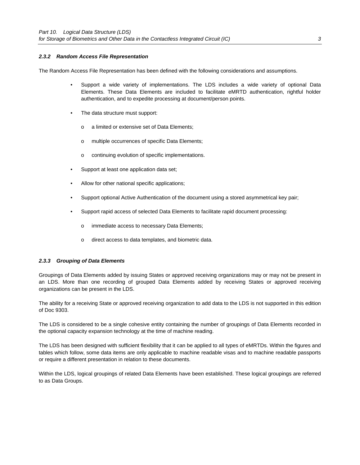#### *2.3.2 Random Access File Representation*

The Random Access File Representation has been defined with the following considerations and assumptions.

- Support a wide variety of implementations. The LDS includes a wide variety of optional Data Elements. These Data Elements are included to facilitate eMRTD authentication, rightful holder authentication, and to expedite processing at document/person points.
- The data structure must support:
	- o a limited or extensive set of Data Elements;
	- o multiple occurrences of specific Data Elements;
	- o continuing evolution of specific implementations.
- Support at least one application data set;
- Allow for other national specific applications;
- Support optional Active Authentication of the document using a stored asymmetrical key pair;
- Support rapid access of selected Data Elements to facilitate rapid document processing:
	- o immediate access to necessary Data Elements;
	- o direct access to data templates, and biometric data.

#### *2.3.3 Grouping of Data Elements*

Groupings of Data Elements added by issuing States or approved receiving organizations may or may not be present in an LDS. More than one recording of grouped Data Elements added by receiving States or approved receiving organizations can be present in the LDS.

The ability for a receiving State or approved receiving organization to add data to the LDS is not supported in this edition of Doc 9303.

The LDS is considered to be a single cohesive entity containing the number of groupings of Data Elements recorded in the optional capacity expansion technology at the time of machine reading.

The LDS has been designed with sufficient flexibility that it can be applied to all types of eMRTDs. Within the figures and tables which follow, some data items are only applicable to machine readable visas and to machine readable passports or require a different presentation in relation to these documents.

Within the LDS, logical groupings of related Data Elements have been established. These logical groupings are referred to as Data Groups.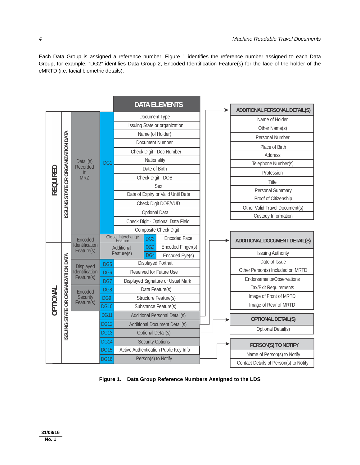Each Data Group is assigned a reference number. Figure 1 identifies the reference number assigned to each Data Group, for example, "DG2" identifies Data Group 2, Encoded Identification Feature(s) for the face of the holder of the eMRTD (i.e. facial biometric details).



**Figure 1. Data Group Reference Numbers Assigned to the LDS**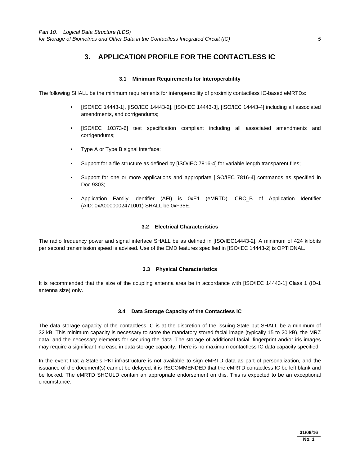## **3. APPLICATION PROFILE FOR THE CONTACTLESS IC**

#### **3.1 Minimum Requirements for Interoperability**

The following SHALL be the minimum requirements for interoperability of proximity contactless IC-based eMRTDs:

- [ISO/IEC 14443-1], [ISO/IEC 14443-2], [ISO/IEC 14443-3], [ISO/IEC 14443-4] including all associated amendments, and corrigendums;
- [ISO/IEC 10373-6] test specification compliant including all associated amendments and corrigendums;
- Type A or Type B signal interface;
- Support for a file structure as defined by [ISO/IEC 7816-4] for variable length transparent files;
- Support for one or more applications and appropriate [ISO/IEC 7816-4] commands as specified in Doc 9303;
- Application Family Identifier (AFI) is 0xE1 (eMRTD). CRC\_B of Application Identifier (AID: 0xA0000002471001) SHALL be 0xF35E.

#### **3.2 Electrical Characteristics**

The radio frequency power and signal interface SHALL be as defined in [ISO/IEC14443-2]. A minimum of 424 kilobits per second transmission speed is advised. Use of the EMD features specified in [ISO/IEC 14443-2] is OPTIONAL.

#### **3.3 Physical Characteristics**

It is recommended that the size of the coupling antenna area be in accordance with [ISO/IEC 14443-1] Class 1 (ID-1 antenna size) only.

#### **3.4 Data Storage Capacity of the Contactless IC**

The data storage capacity of the contactless IC is at the discretion of the issuing State but SHALL be a minimum of 32 kB. This minimum capacity is necessary to store the mandatory stored facial image (typically 15 to 20 kB), the MRZ data, and the necessary elements for securing the data. The storage of additional facial, fingerprint and/or iris images may require a significant increase in data storage capacity. There is no maximum contactless IC data capacity specified.

In the event that a State's PKI infrastructure is not available to sign eMRTD data as part of personalization, and the issuance of the document(s) cannot be delayed, it is RECOMMENDED that the eMRTD contactless IC be left blank and be locked. The eMRTD SHOULD contain an appropriate endorsement on this. This is expected to be an exceptional circumstance.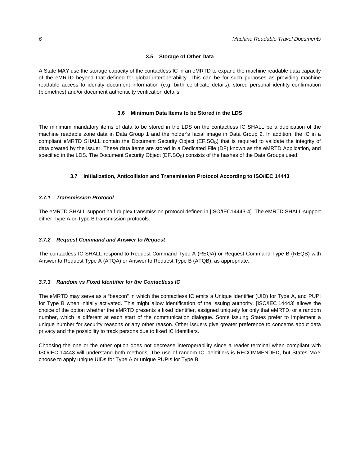#### **3.5 Storage of Other Data**

A State MAY use the storage capacity of the contactless IC in an eMRTD to expand the machine readable data capacity of the eMRTD beyond that defined for global interoperability. This can be for such purposes as providing machine readable access to identity document information (e.g. birth certificate details), stored personal identity confirmation (biometrics) and/or document authenticity verification details.

#### **3.6 Minimum Data Items to be Stored in the LDS**

The minimum mandatory items of data to be stored in the LDS on the contactless IC SHALL be a duplication of the machine readable zone data in Data Group 1 and the holder's facial image in Data Group 2. In addition, the IC in a compliant eMRTD SHALL contain the Document Security Object (EF.SO<sub>D</sub>) that is required to validate the integrity of data created by the issuer. These data items are stored in a Dedicated File (DF) known as the eMRTD Application, and specified in the LDS. The Document Security Object (EF.SO<sub>D</sub>) consists of the hashes of the Data Groups used.

#### **3.7 Initialization, Anticollision and Transmission Protocol According to ISO/IEC 14443**

#### *3.7.1 Transmission Protocol*

The eMRTD SHALL support half-duplex transmission protocol defined in [ISO/IEC14443-4]. The eMRTD SHALL support either Type A or Type B transmission protocols.

#### *3.7.2 Request Command and Answer to Request*

The contactless IC SHALL respond to Request Command Type A (REQA) or Request Command Type B (REQB) with Answer to Request Type A (ATQA) or Answer to Request Type B (ATQB), as appropriate.

#### *3.7.3 Random vs Fixed Identifier for the Contactless IC*

The eMRTD may serve as a "beacon" in which the contactless IC emits a Unique Identifier (UID) for Type A, and PUPI for Type B when initially activated. This might allow identification of the issuing authority. [ISO/IEC 14443] allows the choice of the option whether the eMRTD presents a fixed identifier, assigned uniquely for only that eMRTD, or a random number, which is different at each start of the communication dialogue. Some issuing States prefer to implement a unique number for security reasons or any other reason. Other issuers give greater preference to concerns about data privacy and the possibility to track persons due to fixed IC identifiers.

Choosing the one or the other option does not decrease interoperability since a reader terminal when compliant with ISO/IEC 14443 will understand both methods. The use of random IC identifiers is RECOMMENDED, but States MAY choose to apply unique UIDs for Type A or unique PUPIs for Type B.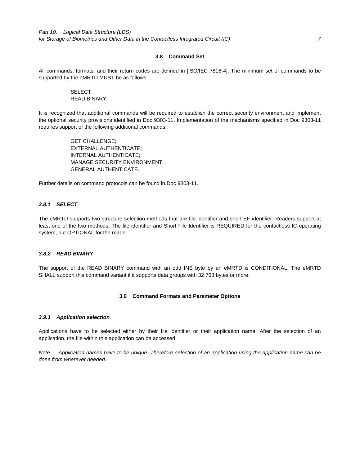#### **3.8 Command Set**

All commands, formats, and their return codes are defined in [ISO/IEC 7816-4]. The minimum set of commands to be supported by the eMRTD MUST be as follows:

#### SELECT; READ BINARY.

It is recognized that additional commands will be required to establish the correct security environment and implement the optional security provisions identified in Doc 9303-11**.** Implementation of the mechanisms specified in Doc 9303-11 requires support of the following additional commands:

> GET CHALLENGE; EXTERNAL AUTHENTICATE; INTERNAL AUTHENTICATE; MANAGE SECURITY ENVIRONMENT; GENERAL AUTHENTICATE.

Further details on command protocols can be found in Doc 9303-11.

#### *3.8.1**SELECT*

The eMRTD supports two structure selection methods that are file identifier and short EF identifier. Readers support at least one of the two methods. The file identifier and Short File Identifier is REQUIRED for the contactless IC operating system, but OPTIONAL for the reader.

#### *3.8.2**READ BINARY*

The support of the READ BINARY command with an odd INS byte by an eMRTD is CONDITIONAL. The eMRTD SHALL support this command variant if it supports data groups with 32 768 bytes or more.

#### **3.9 Command Formats and Parameter Options**

#### *3.9.1**Application selection*

Applications have to be selected either by their file identifier or their application name. After the selection of an application, the file within this application can be accessed.

*Note.— Application names have to be unique. Therefore selection of an application using the application name can be done from wherever needed.*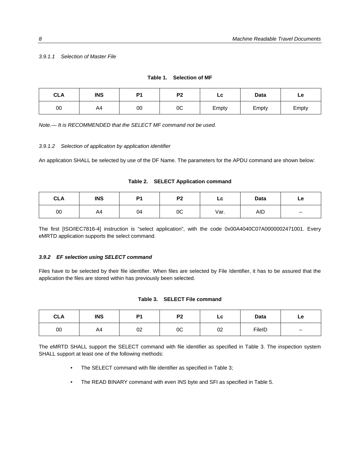#### *3.9.1.1 Selection of Master File*

| <b>CLA</b> | <b>INS</b> | D <sub>1</sub> | P <sub>2</sub> | LC    | <b>Data</b> | Le    |
|------------|------------|----------------|----------------|-------|-------------|-------|
| 00         | A4         | 00             | 0C             | Empty | Empty       | Empty |

| Table 1. | <b>Selection of MF</b> |  |
|----------|------------------------|--|
|          |                        |  |

*Note.— It is RECOMMENDED that the SELECT MF command not be used.* 

#### *3.9.1.2 Selection of application by application identifier*

An application SHALL be selected by use of the DF Name. The parameters for the APDU command are shown below:

| Table 2. SELECT Application command |
|-------------------------------------|
|-------------------------------------|

| <b>CLA</b> | <b>INS</b> | P <sub>4</sub> | <b>D<sub>2</sub></b> | LC   | Data | Le                       |
|------------|------------|----------------|----------------------|------|------|--------------------------|
| 00         | A4         | 04             | 0C                   | Var. | AID  | $\overline{\phantom{0}}$ |

The first [ISO/IEC7816-4] instruction is "select application", with the code 0x00A4040C07A0000002471001. Every eMRTD application supports the select command.

#### *3.9.2**EF selection using SELECT command*

Files have to be selected by their file identifier. When files are selected by File Identifier, it has to be assured that the application the files are stored within has previously been selected.

#### **Table 3. SELECT File command**

| <b>CLA</b> | <b>INS</b> | D <sub>1</sub> | D <sub>2</sub> | LC | <b>Data</b> | Le                       |
|------------|------------|----------------|----------------|----|-------------|--------------------------|
| 00         | A4         | 02             | 0C             | 02 | FileID      | $\overline{\phantom{m}}$ |

The eMRTD SHALL support the SELECT command with file identifier as specified in Table 3. The inspection system SHALL support at least one of the following methods:

- The SELECT command with file identifier as specified in Table 3;
- The READ BINARY command with even INS byte and SFI as specified in Table 5.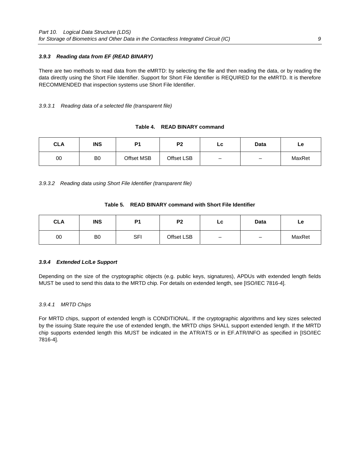#### *3.9.3**Reading data from EF (READ BINARY)*

There are two methods to read data from the eMRTD: by selecting the file and then reading the data, or by reading the data directly using the Short File Identifier. Support for Short File Identifier is REQUIRED for the eMRTD. It is therefore RECOMMENDED that inspection systems use Short File Identifier.

#### *3.9.3.1 Reading data of a selected file (transparent file)*

#### **Table 4. READ BINARY command**

| CLA | <b>INS</b>     | D <sub>1</sub> | פם         | LC                       | Data                     | Le.    |
|-----|----------------|----------------|------------|--------------------------|--------------------------|--------|
| 00  | B <sub>0</sub> | Offset MSB     | Offset LSB | $\overline{\phantom{0}}$ | $\overline{\phantom{0}}$ | MaxRet |

*3.9.3.2 Reading data using Short File Identifier (transparent file)* 

|  | Table 5.    READ BINARY command with Short File Identifier |
|--|------------------------------------------------------------|
|  |                                                            |

| <b>CLA</b> | <b>INS</b>     | P <sub>1</sub> | P <sub>2</sub> | LC | <b>Data</b>              | Le     |
|------------|----------------|----------------|----------------|----|--------------------------|--------|
| 00         | B <sub>0</sub> | <b>SFI</b>     | Offset LSB     |    | $\overline{\phantom{0}}$ | MaxRet |

#### *3.9.4**Extended Lc/Le Support*

Depending on the size of the cryptographic objects (e.g. public keys, signatures), APDUs with extended length fields MUST be used to send this data to the MRTD chip. For details on extended length, see [ISO/IEC 7816-4].

#### *3.9.4.1 MRTD Chips*

For MRTD chips, support of extended length is CONDITIONAL. If the cryptographic algorithms and key sizes selected by the issuing State require the use of extended length, the MRTD chips SHALL support extended length. If the MRTD chip supports extended length this MUST be indicated in the ATR/ATS or in EF.ATR/INFO as specified in [ISO/IEC 7816-4].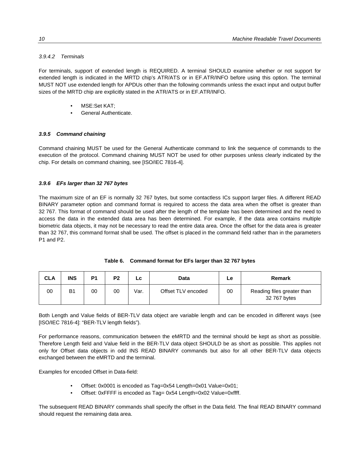#### *3.9.4.2 Terminals*

For terminals, support of extended length is REQUIRED. A terminal SHOULD examine whether or not support for extended length is indicated in the MRTD chip's ATR/ATS or in EF.ATR/INFO before using this option. The terminal MUST NOT use extended length for APDUs other than the following commands unless the exact input and output buffer sizes of the MRTD chip are explicitly stated in the ATR/ATS or in EF.ATR/INFO.

- MSE:Set KAT;
- General Authenticate.

#### *3.9.5**Command chaining*

Command chaining MUST be used for the General Authenticate command to link the sequence of commands to the execution of the protocol. Command chaining MUST NOT be used for other purposes unless clearly indicated by the chip. For details on command chaining, see [ISO/IEC 7816-4].

#### *3.9.6**EFs larger than 32 767 bytes*

The maximum size of an EF is normally 32 767 bytes, but some contactless ICs support larger files. A different READ BINARY parameter option and command format is required to access the data area when the offset is greater than 32 767. This format of command should be used after the length of the template has been determined and the need to access the data in the extended data area has been determined. For example, if the data area contains multiple biometric data objects, it may not be necessary to read the entire data area. Once the offset for the data area is greater than 32 767, this command format shall be used. The offset is placed in the command field rather than in the parameters P1 and P2.

|  | Table 6. Command format for EFs larger than 32 767 bytes |  |  |  |  |
|--|----------------------------------------------------------|--|--|--|--|
|--|----------------------------------------------------------|--|--|--|--|

| <b>CLA</b> | <b>INS</b> | P <sub>1</sub> | P <sub>2</sub> |      | Data               | Le | Remark                                     |
|------------|------------|----------------|----------------|------|--------------------|----|--------------------------------------------|
| 00         | B1         | 00             | 00             | Var. | Offset TLV encoded | 00 | Reading files greater than<br>32 767 bytes |

Both Length and Value fields of BER-TLV data object are variable length and can be encoded in different ways (see [ISO/IEC 7816-4]: "BER-TLV length fields").

For performance reasons, communication between the eMRTD and the terminal should be kept as short as possible. Therefore Length field and Value field in the BER-TLV data object SHOULD be as short as possible. This applies not only for Offset data objects in odd INS READ BINARY commands but also for all other BER-TLV data objects exchanged between the eMRTD and the terminal.

Examples for encoded Offset in Data-field:

- Offset: 0x0001 is encoded as Tag=0x54 Length=0x01 Value=0x01;
- Offset: 0xFFFF is encoded as Tag= 0x54 Length=0x02 Value=0xffff.

The subsequent READ BINARY commands shall specify the offset in the Data field. The final READ BINARY command should request the remaining data area.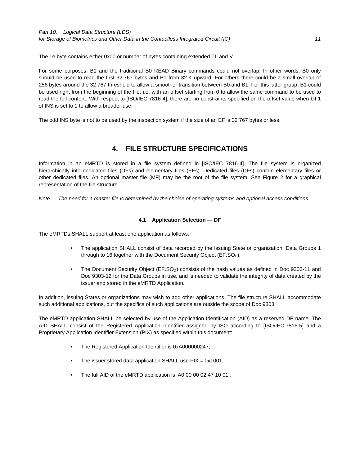The Le byte contains either 0x00 or number of bytes containing extended TL and V.

For some purposes, B1 and the traditional B0 READ Binary commands could not overlap. In other words, B0 only should be used to read the first 32 767 bytes and B1 from 32 K upward. For others there could be a small overlap of 256 bytes around the 32 767 threshold to allow a smoother transition between B0 and B1. For this latter group, B1 could be used right from the beginning of the file, i.e. with an offset starting from 0 to allow the same command to be used to read the full content. With respect to [ISO/IEC 7816-4], there are no constraints specified on the offset value when bit 1 of INS is set to 1 to allow a broader use.

The odd INS byte is not to be used by the inspection system if the size of an EF is 32 767 bytes or less.

## **4. FILE STRUCTURE SPECIFICATIONS**

Information in an eMRTD is stored in a file system defined in [ISO/IEC 7816-4]. The file system is organized hierarchically into dedicated files (DFs) and elementary files (EFs). Dedicated files (DFs) contain elementary files or other dedicated files. An optional master file (MF) may be the root of the file system. See Figure 2 for a graphical representation of the file structure.

*Note.— The need for a master file is determined by the choice of operating systems and optional access conditions.* 

#### **4.1 Application Selection — DF**

The eMRTDs SHALL support at least one application as follows:

- The application SHALL consist of data recorded by the Issuing State or organization, Data Groups 1 through to 16 together with the Document Security Object ( $EF.SO<sub>D</sub>$ );
- The Document Security Object (EF.SO<sub>D</sub>) consists of the hash values as defined in Doc 9303-11 and Doc 9303-12 for the Data Groups in use, and is needed to validate the integrity of data created by the issuer and stored in the eMRTD Application.

In addition, issuing States or organizations may wish to add other applications. The file structure SHALL accommodate such additional applications, but the specifics of such applications are outside the scope of Doc 9303.

The eMRTD application SHALL be selected by use of the Application Identification (AID) as a reserved DF name. The AID SHALL consist of the Registered Application Identifier assigned by ISO according to [ISO/IEC 7816-5] and a Proprietary Application Identifier Extension (PIX) as specified within this document:

- The Registered Application Identifier is 0xA000000247;
- The issuer stored data application SHALL use PIX = 0x1001;
- The full AID of the eMRTD application is 'A0 00 00 02 47 10 01'.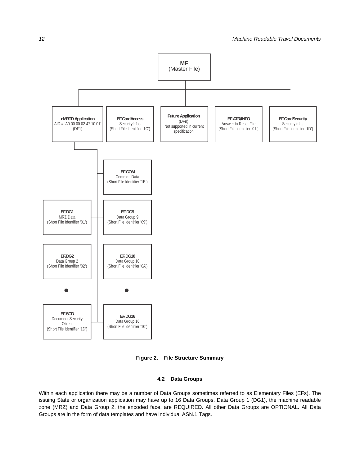

**Figure 2. File Structure Summary** 

#### **4.2 Data Groups**

Within each application there may be a number of Data Groups sometimes referred to as Elementary Files (EFs). The issuing State or organization application may have up to 16 Data Groups. Data Group 1 (DG1), the machine readable zone (MRZ) and Data Group 2, the encoded face, are REQUIRED. All other Data Groups are OPTIONAL. All Data Groups are in the form of data templates and have individual ASN.1 Tags.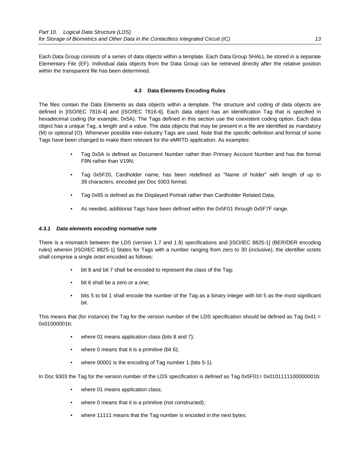Each Data Group consists of a series of data objects within a template. Each Data Group SHALL be stored in a separate Elementary File (EF). Individual data objects from the Data Group can be retrieved directly after the relative position within the transparent file has been determined.

#### **4.3 Data Elements Encoding Rules**

The files contain the Data Elements as data objects within a template. The structure and coding of data objects are defined in [ISO/IEC 7816-4] and [ISO/IEC 7816-6]. Each data object has an identification Tag that is specified in hexadecimal coding (for example, 0x5A). The Tags defined in this section use the coexistent coding option. Each data object has a unique Tag, a length and a value. The data objects that may be present in a file are identified as mandatory (M) or optional (O). Whenever possible inter-industry Tags are used. Note that the specific definition and format of some Tags have been changed to make them relevant for the eMRTD application. As examples:

- Tag 0x5A is defined as Document Number rather than Primary Account Number and has the format F9N rather than V19N;
- Tag 0x5F20, Cardholder name, has been redefined as "Name of holder" with length of up to 39 characters, encoded per Doc 9303 format;
- Tag 0x65 is defined as the Displayed Portrait rather than Cardholder Related Data;
- As needed, additional Tags have been defined within the 0x5F01 through 0x5F7F range.

#### *4.3.1**Data elements encoding normative note*

There is a mismatch between the LDS (version 1.7 and 1.8) specifications and [ISO/IEC 8825-1] (BER/DER encoding rules) wherein [ISO/IEC 8825-1] States for Tags with a number ranging from zero to 30 (inclusive), the identifier octets shall comprise a single octet encoded as follows:

- bit 8 and bit 7 shall be encoded to represent the class of the Tag;
- bit 6 shall be a zero or a one:
- bits 5 to bit 1 shall encode the number of the Tag as a binary integer with bit 5 as the most significant bit.

This means that (for instance) the Tag for the version number of the LDS specification should be defined as Tag 0x41 = 0x01000001b:

- where 01 means application class (bits 8 and 7);
- where 0 means that it is a primitive (bit  $6$ );
- where 00001 is the encoding of Tag number 1 (bits 5-1).

In Doc 9303 the Tag for the version number of the LDS specification is defined as Tag 0x5F01= 0x0101111100000001b:

- where 01 means application class;
- where 0 means that it is a primitive (not constructed);
- where 11111 means that the Tag number is encoded in the next bytes;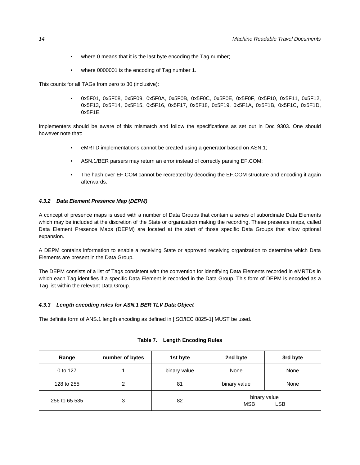- where 0 means that it is the last byte encoding the Tag number;
- where 0000001 is the encoding of Tag number 1.

This counts for all TAGs from zero to 30 (inclusive):

 • 0x5F01, 0x5F08, 0x5F09, 0x5F0A, 0x5F0B, 0x5F0C, 0x5F0E, 0x5F0F, 0x5F10, 0x5F11, 0x5F12, 0x5F13, 0x5F14, 0x5F15, 0x5F16, 0x5F17, 0x5F18, 0x5F19, 0x5F1A, 0x5F1B, 0x5F1C, 0x5F1D, 0x5F1E.

Implementers should be aware of this mismatch and follow the specifications as set out in Doc 9303. One should however note that:

- eMRTD implementations cannot be created using a generator based on ASN.1;
- ASN.1/BER parsers may return an error instead of correctly parsing EF.COM;
- The hash over EF.COM cannot be recreated by decoding the EF.COM structure and encoding it again afterwards.

#### *4.3.2**Data Element Presence Map (DEPM)*

A concept of presence maps is used with a number of Data Groups that contain a series of subordinate Data Elements which may be included at the discretion of the State or organization making the recording. These presence maps, called Data Element Presence Maps (DEPM) are located at the start of those specific Data Groups that allow optional expansion.

A DEPM contains information to enable a receiving State or approved receiving organization to determine which Data Elements are present in the Data Group.

The DEPM consists of a list of Tags consistent with the convention for identifying Data Elements recorded in eMRTDs in which each Tag identifies if a specific Data Element is recorded in the Data Group. This form of DEPM is encoded as a Tag list within the relevant Data Group.

#### *4.3.3 Length encoding rules for ASN.1 BER TLV Data Object*

The definite form of ANS.1 length encoding as defined in [ISO/IEC 8825-1] MUST be used.

| Range         | number of bytes | 1st byte     | 2nd byte     | 3rd byte                   |
|---------------|-----------------|--------------|--------------|----------------------------|
| 0 to 127      |                 | binary value | None         | None                       |
| 128 to 255    | 2               | 81           | binary value | None                       |
| 256 to 65 535 | 3               | 82           | <b>MSB</b>   | binary value<br><b>LSB</b> |

| Table 7. |  | <b>Length Encoding Rules</b> |  |
|----------|--|------------------------------|--|
|----------|--|------------------------------|--|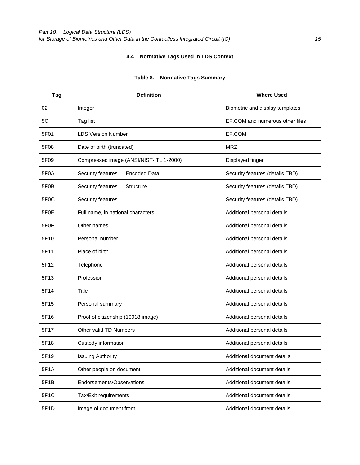## **4.4 Normative Tags Used in LDS Context**

| Tag               | <b>Definition</b>                       | <b>Where Used</b>               |
|-------------------|-----------------------------------------|---------------------------------|
| 02                | Integer                                 | Biometric and display templates |
| 5C                | Tag list                                | EF.COM and numerous other files |
| 5F01              | <b>LDS Version Number</b>               | EF.COM                          |
| 5F08              | Date of birth (truncated)               | <b>MRZ</b>                      |
| 5F09              | Compressed image (ANSI/NIST-ITL 1-2000) | Displayed finger                |
| 5F <sub>0</sub> A | Security features - Encoded Data        | Security features (details TBD) |
| 5F0B              | Security features - Structure           | Security features (details TBD) |
| 5F <sub>0</sub> C | Security features                       | Security features (details TBD) |
| 5F <sub>0</sub> E | Full name, in national characters       | Additional personal details     |
| 5F <sub>0</sub> F | Other names                             | Additional personal details     |
| 5F10              | Personal number                         | Additional personal details     |
| 5F11              | Place of birth                          | Additional personal details     |
| 5F12              | Telephone                               | Additional personal details     |
| 5F13              | Profession                              | Additional personal details     |
| 5F14              | Title                                   | Additional personal details     |
| 5F15              | Personal summary                        | Additional personal details     |
| 5F16              | Proof of citizenship (10918 image)      | Additional personal details     |
| 5F17              | Other valid TD Numbers                  | Additional personal details     |
| 5F18              | Custody information                     | Additional personal details     |
| 5F19              | <b>Issuing Authority</b>                | Additional document details     |
| 5F1A              | Other people on document                | Additional document details     |
| 5F1B              | Endorsements/Observations               | Additional document details     |
| 5F1C              | Tax/Exit requirements                   | Additional document details     |
| 5F1D              | Image of document front                 | Additional document details     |

#### **Table 8. Normative Tags Summary**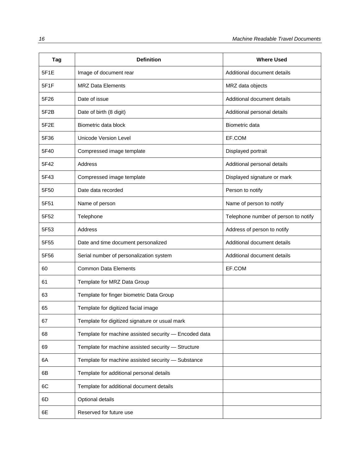| Tag  | <b>Definition</b>                                     | <b>Where Used</b>                    |
|------|-------------------------------------------------------|--------------------------------------|
| 5F1E | Image of document rear                                | Additional document details          |
| 5F1F | <b>MRZ Data Elements</b>                              | MRZ data objects                     |
| 5F26 | Date of issue                                         | Additional document details          |
| 5F2B | Date of birth (8 digit)                               | Additional personal details          |
| 5F2E | Biometric data block                                  | Biometric data                       |
| 5F36 | Unicode Version Level                                 | EF.COM                               |
| 5F40 | Compressed image template                             | Displayed portrait                   |
| 5F42 | <b>Address</b>                                        | Additional personal details          |
| 5F43 | Compressed image template                             | Displayed signature or mark          |
| 5F50 | Date data recorded                                    | Person to notify                     |
| 5F51 | Name of person                                        | Name of person to notify             |
| 5F52 | Telephone                                             | Telephone number of person to notify |
| 5F53 | Address                                               | Address of person to notify          |
| 5F55 | Date and time document personalized                   | Additional document details          |
| 5F56 | Serial number of personalization system               | Additional document details          |
| 60   | <b>Common Data Elements</b>                           | EF.COM                               |
| 61   | Template for MRZ Data Group                           |                                      |
| 63   | Template for finger biometric Data Group              |                                      |
| 65   | Template for digitized facial image                   |                                      |
| 67   | Template for digitized signature or usual mark        |                                      |
| 68   | Template for machine assisted security - Encoded data |                                      |
| 69   | Template for machine assisted security - Structure    |                                      |
| 6A   | Template for machine assisted security - Substance    |                                      |
| 6B   | Template for additional personal details              |                                      |
| 6C   | Template for additional document details              |                                      |
| 6D   | Optional details                                      |                                      |
| 6E   | Reserved for future use                               |                                      |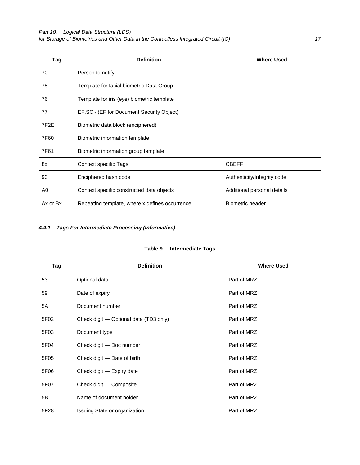| Tag               | <b>Definition</b>                                    | <b>Where Used</b>           |
|-------------------|------------------------------------------------------|-----------------------------|
| 70                | Person to notify                                     |                             |
| 75                | Template for facial biometric Data Group             |                             |
| 76                | Template for iris (eye) biometric template           |                             |
| 77                | EF.SO <sub>D</sub> (EF for Document Security Object) |                             |
| 7F <sub>2</sub> E | Biometric data block (enciphered)                    |                             |
| 7F60              | Biometric information template                       |                             |
| 7F61              | Biometric information group template                 |                             |
| 8x                | Context specific Tags                                | <b>CBEFF</b>                |
| 90                | Enciphered hash code                                 | Authenticity/Integrity code |
| A0                | Context specific constructed data objects            | Additional personal details |
| Ax or Bx          | Repeating template, where x defines occurrence       | <b>Biometric header</b>     |

## *4.4.1**Tags For Intermediate Processing (Informative)*

#### **Table 9. Intermediate Tags**

| Tag  | <b>Definition</b>                      | <b>Where Used</b> |
|------|----------------------------------------|-------------------|
| 53   | Optional data                          | Part of MRZ       |
| 59   | Date of expiry                         | Part of MRZ       |
| 5A   | Document number                        | Part of MRZ       |
| 5F02 | Check digit - Optional data (TD3 only) | Part of MRZ       |
| 5F03 | Document type                          | Part of MRZ       |
| 5F04 | Check digit - Doc number               | Part of MRZ       |
| 5F05 | Check digit – Date of birth            | Part of MRZ       |
| 5F06 | Check digit - Expiry date              | Part of MRZ       |
| 5F07 | Check digit - Composite                | Part of MRZ       |
| 5B   | Name of document holder                | Part of MRZ       |
| 5F28 | Issuing State or organization          | Part of MRZ       |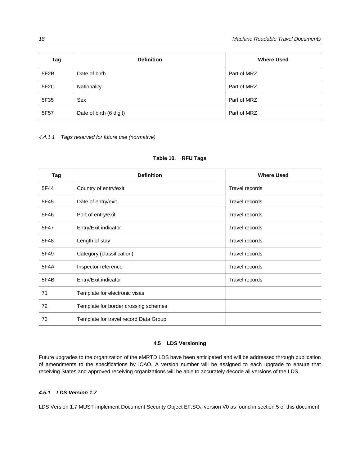| Tag               | <b>Definition</b>       | <b>Where Used</b> |
|-------------------|-------------------------|-------------------|
| 5F2B              | Date of birth           | Part of MRZ       |
| 5F <sub>2</sub> C | Nationality             | Part of MRZ       |
| 5F35              | Sex                     | Part of MRZ       |
| 5F57              | Date of birth (6 digit) | Part of MRZ       |

*4.4.1.1 Tags reserved for future use (normative)* 

| Table 10. |  |  | <b>RFU Tags</b> |
|-----------|--|--|-----------------|
|-----------|--|--|-----------------|

| Tag  | <b>Definition</b>                     | <b>Where Used</b>     |
|------|---------------------------------------|-----------------------|
| 5F44 | Country of entry/exit                 | <b>Travel records</b> |
| 5F45 | Date of entry/exit                    | Travel records        |
| 5F46 | Port of entry/exit                    | Travel records        |
| 5F47 | Entry/Exit indicator                  | Travel records        |
| 5F48 | Length of stay                        | Travel records        |
| 5F49 | Category (classification)             | Travel records        |
| 5F4A | Inspector reference                   | Travel records        |
| 5F4B | Entry/Exit indicator                  | <b>Travel records</b> |
| 71   | Template for electronic visas         |                       |
| 72   | Template for border crossing schemes  |                       |
| 73   | Template for travel record Data Group |                       |

#### **4.5 LDS Versioning**

Future upgrades to the organization of the eMRTD LDS have been anticipated and will be addressed through publication of amendments to the specifications by ICAO. A version number will be assigned to each upgrade to ensure that receiving States and approved receiving organizations will be able to accurately decode all versions of the LDS.

#### *4.5.1**LDS Version 1.7*

LDS Version 1.7 MUST implement Document Security Object EF.SO<sub>D</sub> version V0 as found in section 5 of this document.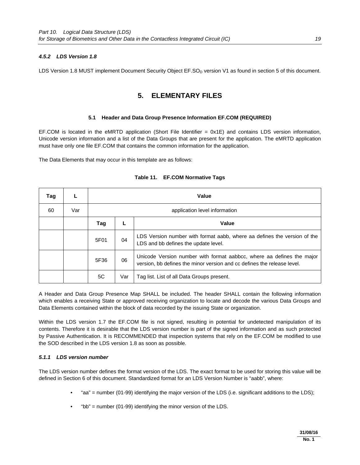#### *4.5.2**LDS Version 1.8*

LDS Version 1.8 MUST implement Document Security Object EF.SO<sub>D</sub> version V1 as found in section 5 of this document.

### **5. ELEMENTARY FILES**

#### **5.1 Header and Data Group Presence Information EF.COM (REQUIRED)**

EF.COM is located in the eMRTD application (Short File Identifier = 0x1E) and contains LDS version information, Unicode version information and a list of the Data Groups that are present for the application. The eMRTD application must have only one file EF.COM that contains the common information for the application.

The Data Elements that may occur in this template are as follows:

| Tag |     | Value |                               |                                                                                                                                                  |
|-----|-----|-------|-------------------------------|--------------------------------------------------------------------------------------------------------------------------------------------------|
| 60  | Var |       | application level information |                                                                                                                                                  |
|     |     | Tag   |                               | Value                                                                                                                                            |
|     |     | 5F01  | 04                            | LDS Version number with format aabb, where aa defines the version of the<br>LDS and bb defines the update level.                                 |
|     |     | 5F36  | 06                            | Unicode Version number with format aabbcc, where aa defines the major<br>version, bb defines the minor version and cc defines the release level. |
|     |     | 5C    | Var                           | Tag list. List of all Data Groups present.                                                                                                       |

#### **Table 11. EF.COM Normative Tags**

A Header and Data Group Presence Map SHALL be included. The header SHALL contain the following information which enables a receiving State or approved receiving organization to locate and decode the various Data Groups and Data Elements contained within the block of data recorded by the issuing State or organization.

Within the LDS version 1.7 the EF.COM file is not signed, resulting in potential for undetected manipulation of its contents. Therefore it is desirable that the LDS version number is part of the signed information and as such protected by Passive Authentication. It is RECOMMENDED that inspection systems that rely on the EF.COM be modified to use the SOD described in the LDS version 1.8 as soon as possible.

#### *5.1.1**LDS version number*

The LDS version number defines the format version of the LDS. The exact format to be used for storing this value will be defined in Section 6 of this document. Standardized format for an LDS Version Number is "aabb", where:

- "aa" = number (01-99) identifying the major version of the LDS (i.e. significant additions to the LDS);
- "bb" = number (01-99) identifying the minor version of the LDS.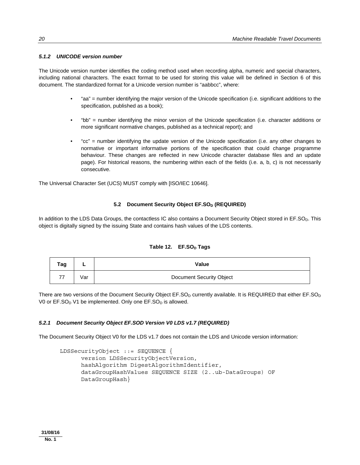#### *5.1.2 UNICODE version number*

The Unicode version number identifies the coding method used when recording alpha, numeric and special characters, including national characters. The exact format to be used for storing this value will be defined in Section 6 of this document. The standardized format for a Unicode version number is "aabbcc", where:

- "aa" = number identifying the major version of the Unicode specification (i.e. significant additions to the specification, published as a book);
- "bb" = number identifying the minor version of the Unicode specification (i.e. character additions or more significant normative changes, published as a technical report); and
- "cc" = number identifying the update version of the Unicode specification (i.e. any other changes to normative or important informative portions of the specification that could change programme behaviour. These changes are reflected in new Unicode character database files and an update page). For historical reasons, the numbering within each of the fields (i.e. a, b, c) is not necessarily consecutive.

The Universal Character Set (UCS) MUST comply with [ISO/IEC 10646].

#### **5.2 Document Security Object EF.SO<sub>D</sub> (REQUIRED)**

In addition to the LDS Data Groups, the contactless IC also contains a Document Security Object stored in EF.SO<sub>D</sub>. This object is digitally signed by the issuing State and contains hash values of the LDS contents.

| Tag | -   | Value                    |
|-----|-----|--------------------------|
| 77  | √ar | Document Security Object |

#### Table 12. EF.SO<sub>D</sub> Tags

There are two versions of the Document Security Object  $EF.SO<sub>D</sub>$  currently available. It is REQUIRED that either  $EF.SO<sub>D</sub>$ V0 or  $EF.SO_D V1$  be implemented. Only one  $EF.SO_D$  is allowed.

#### *5.2.1**Document Security Object EF.SOD Version V0 LDS v1.7 (REQUIRED)*

The Document Security Object V0 for the LDS v1.7 does not contain the LDS and Unicode version information:

```
 LDSSecurityObject ::= SEQUENCE { 
       version LDSSecurityObjectVersion, 
       hashAlgorithm DigestAlgorithmIdentifier, 
       dataGroupHashValues SEQUENCE SIZE (2..ub-DataGroups) OF 
       DataGroupHash}
```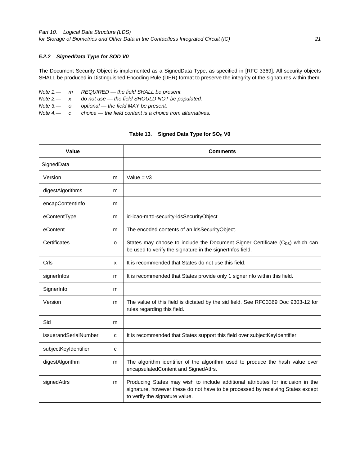#### *5.2.2**SignedData Type for SOD V0*

The Document Security Object is implemented as a SignedData Type, as specified in [RFC 3369]. All security objects SHALL be produced in Distinguished Encoding Rule (DER) format to preserve the integrity of the signatures within them.

|  | Note $1 - m$ REQUIRED $-$ the field SHALL be present.                           |
|--|---------------------------------------------------------------------------------|
|  | Note $2 - x$ do not use $-$ the field SHOULD NOT be populated.                  |
|  | Note $3$ — o optional — the field MAY be present.                               |
|  | Note $4\rightarrow$ c choice — the field content is a choice from alternatives. |

#### Table 13. Signed Data Type for SO<sub>D</sub> V0

| Value                 |   | <b>Comments</b>                                                                                                                                                                                      |
|-----------------------|---|------------------------------------------------------------------------------------------------------------------------------------------------------------------------------------------------------|
| SignedData            |   |                                                                                                                                                                                                      |
| Version               | m | Value = $v3$                                                                                                                                                                                         |
| digestAlgorithms      | m |                                                                                                                                                                                                      |
| encapContentInfo      | m |                                                                                                                                                                                                      |
| eContentType          | m | id-icao-mrtd-security-ldsSecurityObject                                                                                                                                                              |
| eContent              | m | The encoded contents of an IdsSecurityObject.                                                                                                                                                        |
| Certificates          | o | States may choose to include the Document Signer Certificate (C <sub>DS</sub> ) which can<br>be used to verify the signature in the signerInfos field.                                               |
| Crls                  | x | It is recommended that States do not use this field.                                                                                                                                                 |
| signerInfos           | m | It is recommended that States provide only 1 signerInfo within this field.                                                                                                                           |
| SignerInfo            | m |                                                                                                                                                                                                      |
| Version               | m | The value of this field is dictated by the sid field. See RFC3369 Doc 9303-12 for<br>rules regarding this field.                                                                                     |
| Sid                   | m |                                                                                                                                                                                                      |
| issuerandSerialNumber | C | It is recommended that States support this field over subjectKeyIdentifier.                                                                                                                          |
| subjectKeyIdentifier  | C |                                                                                                                                                                                                      |
| digestAlgorithm       | m | The algorithm identifier of the algorithm used to produce the hash value over<br>encapsulatedContent and SignedAttrs.                                                                                |
| signedAttrs           | m | Producing States may wish to include additional attributes for inclusion in the<br>signature, however these do not have to be processed by receiving States except<br>to verify the signature value. |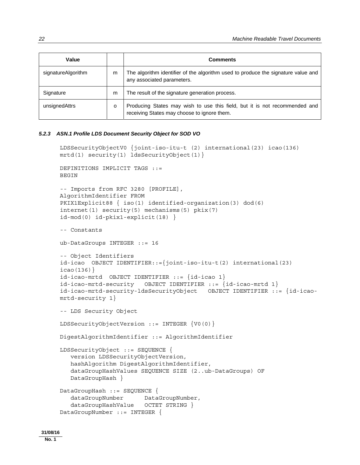| Value              |   | <b>Comments</b>                                                                                                           |
|--------------------|---|---------------------------------------------------------------------------------------------------------------------------|
| signatureAlgorithm | m | The algorithm identifier of the algorithm used to produce the signature value and<br>any associated parameters.           |
| Signature          | m | The result of the signature generation process.                                                                           |
| unsignedAttrs      | o | Producing States may wish to use this field, but it is not recommended and<br>receiving States may choose to ignore them. |

#### *5.2.3**ASN.1 Profile LDS Document Security Object for SOD VO*

```
 LDSSecurityObjectV0 {joint-iso-itu-t (2) international(23) icao(136) 
mrtd(1) security(1) ldsSecurityObject(1)} 
 DEFINITIONS IMPLICIT TAGS ::= 
 BEGIN 
 -- Imports from RFC 3280 [PROFILE], 
 AlgorithmIdentifier FROM 
 PKIX1Explicit88 { iso(1) identified-organization(3) dod(6) 
 internet(1) security(5) mechanisms(5) pkix(7) 
 id-mod(0) id-pkix1-explicit(18) } 
 -- Constants 
 ub-DataGroups INTEGER ::= 16 
 -- Object Identifiers 
 id-icao OBJECT IDENTIFIER::={joint-iso-itu-t(2) international(23) 
icao(136)}
id-icao-mrtd OBJECT IDENTIFIER ::= \{id-icao 1\} id-icao-mrtd-security OBJECT IDENTIFIER ::= {id-icao-mrtd 1} 
 id-icao-mrtd-security-ldsSecurityObject OBJECT IDENTIFIER ::= {id-icao-
mrtd-security 1} 
 -- LDS Security Object 
 LDSSecurityObjectVersion ::= INTEGER {V0(0)} 
 DigestAlgorithmIdentifier ::= AlgorithmIdentifier 
 LDSSecurityObject ::= SEQUENCE { 
    version LDSSecurityObjectVersion, 
    hashAlgorithm DigestAlgorithmIdentifier, 
    dataGroupHashValues SEQUENCE SIZE (2..ub-DataGroups) OF 
    DataGroupHash } 
 DataGroupHash ::= SEQUENCE { 
   dataGroupNumber DataGroupNumber,
    dataGroupHashValue OCTET STRING } 
 DataGroupNumber ::= INTEGER {
```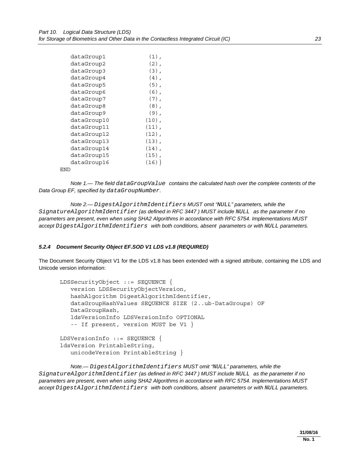| dataGroup1  | $(1)$ ,  |
|-------------|----------|
| dataGroup2  | $(2)$ ,  |
| dataGroup3  | $(3)$ ,  |
| dataGroup4  | $(4)$ ,  |
| dataGroup5  | $(5)$ ,  |
| dataGroup6  | (6),     |
| dataGroup7  | $(7)$ ,  |
| dataGroup8  | $(8)$ ,  |
| dataGroup9  | $(9)$ ,  |
| dataGroup10 | $(10)$ , |
| dataGroup11 | $(11)$ , |
| dataGroup12 | $(12)$ , |
| dataGroup13 | $(13)$ , |
| dataGroup14 | $(14)$ , |
| dataGroup15 | $(15)$ , |
| dataGroup16 | $(16)$ } |
| F.ND        |          |

 *Note 1.— The field dataGroupValue contains the calculated hash over the complete contents of the Data Group EF, specified by dataGroupNumber.* 

 *Note 2.— DigestAlgorithmIdentifiers MUST omit "NULL" parameters, while the SignatureAlgorithmIdentifier (as defined in RFC 3447 ) MUST include NULL as the parameter if no parameters are present, even when using SHA2 Algorithms in accordance with RFC 5754. Implementations MUST accept DigestAlgorithmIdentifiers with both conditions, absent parameters or with NULL parameters.* 

#### *5.2.4**Document Security Object EF.SOD V1 LDS v1.8 (REQUIRED)*

The Document Security Object V1 for the LDS v1.8 has been extended with a signed attribute, containing the LDS and Unicode version information:

```
 LDSSecurityObject ::= SEQUENCE { 
    version LDSSecurityObjectVersion, 
    hashAlgorithm DigestAlgorithmIdentifier, 
    dataGroupHashValues SEQUENCE SIZE (2..ub-DataGroups) OF 
    DataGroupHash, 
    ldsVersionInfo LDSVersionInfo OPTIONAL 
    -- If present, version MUST be V1 } 
 LDSVersionInfo ::= SEQUENCE { 
 ldsVersion PrintableString, 
    unicodeVersion PrintableString }
```
 *Note.— DigestAlgorithmIdentifiers MUST omit "NULL" parameters, while the SignatureAlgorithmIdentifier (as defined in RFC 3447 ) MUST include NULL as the parameter if no parameters are present, even when using SHA2 Algorithms in accordance with RFC 5754. Implementations MUST accept DigestAlgorithmIdentifiers with both conditions, absent parameters or with NULL parameters.*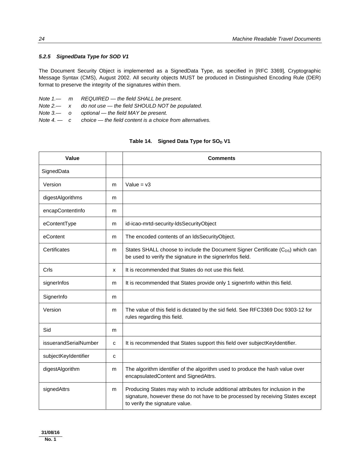#### *5.2.5**SignedData Type for SOD V1*

The Document Security Object is implemented as a SignedData Type, as specified in [RFC 3369], Cryptographic Message Syntax (CMS), August 2002. All security objects MUST be produced in Distinguished Encoding Rule (DER) format to preserve the integrity of the signatures within them.

*Note 1.— m REQUIRED — the field SHALL be present. Note 2.— x do not use — the field SHOULD NOT be populated. Note 3.— o optional — the field MAY be present.* 

*Note 4. — c choice — the field content is a choice from alternatives.* 

## Table 14. Signed Data Type for SO<sub>D</sub> V1

| Value                 |             | <b>Comments</b>                                                                                                                                                                                      |
|-----------------------|-------------|------------------------------------------------------------------------------------------------------------------------------------------------------------------------------------------------------|
| SignedData            |             |                                                                                                                                                                                                      |
| Version               | m           | Value = $v3$                                                                                                                                                                                         |
| digestAlgorithms      | m           |                                                                                                                                                                                                      |
| encapContentInfo      | m           |                                                                                                                                                                                                      |
| eContentType          | m           | id-icao-mrtd-security-ldsSecurityObject                                                                                                                                                              |
| eContent              | m           | The encoded contents of an IdsSecurityObject.                                                                                                                                                        |
| Certificates          | m           | States SHALL choose to include the Document Signer Certificate (C <sub>DS</sub> ) which can<br>be used to verify the signature in the signerInfos field.                                             |
| Crls                  | X           | It is recommended that States do not use this field.                                                                                                                                                 |
| signerInfos           | m           | It is recommended that States provide only 1 signer info within this field.                                                                                                                          |
| SignerInfo            | m           |                                                                                                                                                                                                      |
| Version               | m           | The value of this field is dictated by the sid field. See RFC3369 Doc 9303-12 for<br>rules regarding this field.                                                                                     |
| Sid                   | m           |                                                                                                                                                                                                      |
| issuerandSerialNumber | $\mathbf c$ | It is recommended that States support this field over subjectKeyIdentifier.                                                                                                                          |
| subjectKeyIdentifier  | C           |                                                                                                                                                                                                      |
| digestAlgorithm       | m           | The algorithm identifier of the algorithm used to produce the hash value over<br>encapsulatedContent and SignedAttrs.                                                                                |
| signedAttrs           | m           | Producing States may wish to include additional attributes for inclusion in the<br>signature, however these do not have to be processed by receiving States except<br>to verify the signature value. |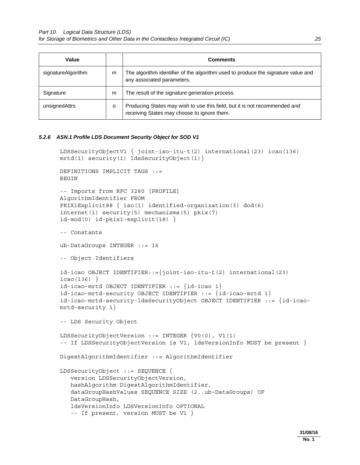| Value              |   | <b>Comments</b>                                                                                                           |
|--------------------|---|---------------------------------------------------------------------------------------------------------------------------|
| signatureAlgorithm | m | The algorithm identifier of the algorithm used to produce the signature value and<br>any associated parameters.           |
| Signature          | m | The result of the signature generation process.                                                                           |
| unsignedAttrs      | o | Producing States may wish to use this field, but it is not recommended and<br>receiving States may choose to ignore them. |

#### *5.2.6**ASN.1 Profile LDS Document Security Object for SOD V1*

```
 LDSSecurityObjectV1 { joint-iso-itu-t(2) international(23) icao(136) 
 mrtd(1) security(1) ldsSecurityObject(1)} 
 DEFINITIONS IMPLICIT TAGS ::= 
 BEGIN 
 -- Imports from RFC 3280 [PROFILE] 
 AlgorithmIdentifier FROM 
 PKIX1Explicit88 { iso(1) identified-organization(3) dod(6) 
 internet(1) security(5) mechanisms(5) pkix(7) 
 id-mod(0) id-pkix1-explicit(18) } 
 -- Constants 
 ub-DataGroups INTEGER ::= 16 
 -- Object Identifiers 
 id-icao OBJECT IDENTIFIER::={joint-iso-itu-t(2) international(23) 
icao(136)}
 id-icao-mrtd OBJECT IDENTIFIER ::= {id-icao 1} 
 id-icao-mrtd-security OBJECT IDENTIFIER ::= {id-icao-mrtd 1} 
 id-icao-mrtd-security-ldsSecurityObject OBJECT IDENTIFIER ::= {id-icao- 
 mrtd-security 1} 
 -- LDS Security Object 
 LDSSecurityObjectVersion ::= INTEGER {V0(0), V1(1) 
 -- If LDSSecurityObjectVersion is V1, ldsVersionInfo MUST be present } 
 DigestAlgorithmIdentifier ::= AlgorithmIdentifier 
 LDSSecurityObject ::= SEQUENCE { 
    version LDSSecurityObjectVersion, 
    hashAlgorithm DigestAlgorithmIdentifier, 
    dataGroupHashValues SEQUENCE SIZE (2..ub-DataGroups) OF 
    DataGroupHash, 
    ldsVersionInfo LDSVersionInfo OPTIONAL 
    -- If present, version MUST be V1 }
```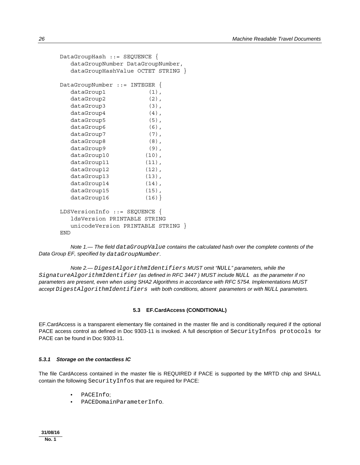```
 DataGroupHash ::= SEQUENCE { 
   dataGroupNumber DataGroupNumber, 
   dataGroupHashValue OCTET STRING } 
 DataGroupNumber ::= INTEGER { 
  dataGroup1 (1),
  dataGroup2 (2),
  dataGroup3 (3),
  dataGroup4 (4),
  dataGroup5 (5),
  dataGroup6 (6),
  dataGroup7 (7),
  dataGroup8 (8),
  dataGroup9 (9),
  dataGroup10 (10),
  dataGroup11 (11),
  dataGroup12 (12),
  dataGroup13 (13),
  dataGroup14 (14),
  dataGroup15 (15),
  dataGroup16 (16)}
 LDSVersionInfo ::= SEQUENCE { 
   ldsVersion PRINTABLE STRING 
   unicodeVersion PRINTABLE STRING } 
 END
```
 *Note 1.— The field dataGroupValue contains the calculated hash over the complete contents of the Data Group EF, specified by dataGroupNumber.* 

 *Note 2.— DigestAlgorithmIdentifiers MUST omit "NULL" parameters, while the SignatureAlgorithmIdentifier (as defined in RFC 3447 ) MUST include NULL as the parameter if no parameters are present, even when using SHA2 Algorithms in accordance with RFC 5754. Implementations MUST accept DigestAlgorithmIdentifiers with both conditions, absent parameters or with NULL parameters.* 

#### **5.3 EF.CardAccess (CONDITIONAL)**

EF.CardAccess is a transparent elementary file contained in the master file and is conditionally required if the optional PACE access control as defined in Doc 9303-11 is invoked. A full description of SecurityInfos protocols for PACE can be found in Doc 9303-11.

#### *5.3.1**Storage on the contactless IC*

The file CardAccess contained in the master file is REQUIRED if PACE is supported by the MRTD chip and SHALL contain the following SecurityInfos that are required for PACE:

- PACEInfo;
- PACEDomainParameterInfo.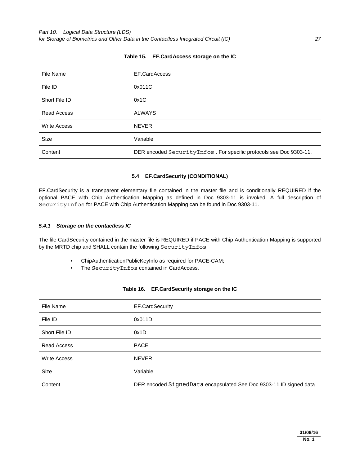| File Name           | EF.CardAccess                                                      |
|---------------------|--------------------------------------------------------------------|
| File ID             | 0x011C                                                             |
| Short File ID       | 0x1C                                                               |
| <b>Read Access</b>  | ALWAYS                                                             |
| <b>Write Access</b> | <b>NEVER</b>                                                       |
| <b>Size</b>         | Variable                                                           |
| Content             | DER encoded SecurityInfos. For specific protocols see Doc 9303-11. |

#### **Table 15. EF.CardAccess storage on the IC**

#### **5.4 EF.CardSecurity (CONDITIONAL)**

EF.CardSecurity is a transparent elementary file contained in the master file and is conditionally REQUIRED if the optional PACE with Chip Authentication Mapping as defined in Doc 9303-11 is invoked. A full description of SecurityInfos for PACE with Chip Authentication Mapping can be found in Doc 9303-11.

#### *5.4.1**Storage on the contactless IC*

The file CardSecurity contained in the master file is REQUIRED if PACE with Chip Authentication Mapping is supported by the MRTD chip and SHALL contain the following SecurityInfos:

- ChipAuthenticationPublicKeyInfo as required for PACE-CAM;
- The SecurityInfos contained in CardAccess.

| File Name           | EF.CardSecurity                                                    |
|---------------------|--------------------------------------------------------------------|
| File ID             | 0x011D                                                             |
| Short File ID       | 0x1D                                                               |
| Read Access         | <b>PACE</b>                                                        |
| <b>Write Access</b> | <b>NEVER</b>                                                       |
| <b>Size</b>         | Variable                                                           |
| Content             | DER encoded SignedData encapsulated See Doc 9303-11.ID signed data |

|  | Table 16. EF.CardSecurity storage on the IC |
|--|---------------------------------------------|
|--|---------------------------------------------|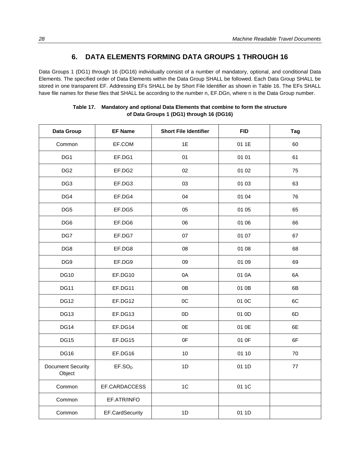## **6. DATA ELEMENTS FORMING DATA GROUPS 1 THROUGH 16**

Data Groups 1 (DG1) through 16 (DG16) individually consist of a number of mandatory, optional, and conditional Data Elements. The specified order of Data Elements within the Data Group SHALL be followed. Each Data Group SHALL be stored in one transparent EF. Addressing EFs SHALL be by Short File Identifier as shown in Table 16. The EFs SHALL have file names for these files that SHALL be according to the number n, EF.DGn, where n is the Data Group number.

| Data Group                         | <b>EF Name</b>     | <b>Short File Identifier</b> | <b>FID</b> | Tag |
|------------------------------------|--------------------|------------------------------|------------|-----|
| Common                             | EF.COM             | 1E                           | 01 1E      | 60  |
| DG1                                | EF.DG1             | 01                           | 01 01      | 61  |
| DG <sub>2</sub>                    | EF.DG2             | 02                           | 01 02      | 75  |
| DG <sub>3</sub>                    | EF.DG3             | 03                           | 01 03      | 63  |
| DG4                                | EF.DG4             | 04                           | 01 04      | 76  |
| DG <sub>5</sub>                    | EF.DG5             | 05                           | 01 05      | 65  |
| DG <sub>6</sub>                    | EF.DG6             | 06                           | 01 06      | 66  |
| DG7                                | EF.DG7             | 07                           | 01 07      | 67  |
| DG8                                | EF.DG8             | 08                           | 01 08      | 68  |
| DG <sub>9</sub>                    | EF.DG9             | 09                           | 01 09      | 69  |
| <b>DG10</b>                        | EF.DG10            | 0A                           | 01 0A      | 6A  |
| <b>DG11</b>                        | EF.DG11            | 0B                           | 01 0B      | 6B  |
| <b>DG12</b>                        | EF.DG12            | 0C                           | 01 OC      | 6C  |
| <b>DG13</b>                        | EF.DG13            | 0D                           | 01 OD      | 6D  |
| <b>DG14</b>                        | EF.DG14            | 0E                           | 01 0E      | 6E  |
| <b>DG15</b>                        | EF.DG15            | 0F                           | 01 OF      | 6F  |
| <b>DG16</b>                        | EF.DG16            | 10                           | 01 10      | 70  |
| <b>Document Security</b><br>Object | EF.SO <sub>D</sub> | 1D                           | 01 1D      | 77  |
| Common                             | EF.CARDACCESS      | 1C                           | 01 1C      |     |
| Common                             | EF.ATR/INFO        |                              |            |     |
| Common                             | EF.CardSecurity    | 1D                           | 01 1D      |     |

| Table 17. | Mandatory and optional Data Elements that combine to form the structure |
|-----------|-------------------------------------------------------------------------|
|           | of Data Groups 1 (DG1) through 16 (DG16)                                |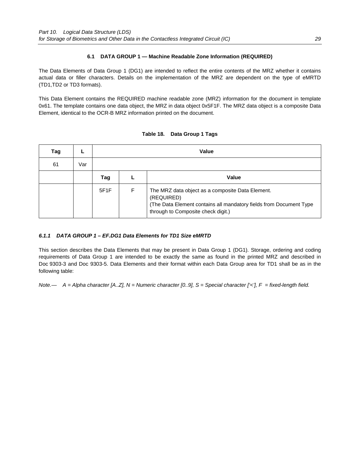## **6.1 DATA GROUP 1 — Machine Readable Zone Information (REQUIRED)**

The Data Elements of Data Group 1 (DG1) are intended to reflect the entire contents of the MRZ whether it contains actual data or filler characters. Details on the implementation of the MRZ are dependent on the type of eMRTD (TD1,TD2 or TD3 formats).

This Data Element contains the REQUIRED machine readable zone (MRZ) information for the document in template 0x61. The template contains one data object, the MRZ in data object 0x5F1F. The MRZ data object is a composite Data Element, identical to the OCR-B MRZ information printed on the document.

| Tag |     |                   | Value |                                                                                                                                                                            |  |  |
|-----|-----|-------------------|-------|----------------------------------------------------------------------------------------------------------------------------------------------------------------------------|--|--|
| 61  | Var |                   |       |                                                                                                                                                                            |  |  |
|     |     | Tag               |       | Value                                                                                                                                                                      |  |  |
|     |     | 5F <sub>1</sub> F | F     | The MRZ data object as a composite Data Element.<br>(REQUIRED)<br>(The Data Element contains all mandatory fields from Document Type<br>through to Composite check digit.) |  |  |

## **Table 18. Data Group 1 Tags**

## *6.1.1**DATA GROUP 1 – EF.DG1 Data Elements for TD1 Size eMRTD*

This section describes the Data Elements that may be present in Data Group 1 (DG1). Storage, ordering and coding requirements of Data Group 1 are intended to be exactly the same as found in the printed MRZ and described in Doc 9303-3 and Doc 9303-5. Data Elements and their format within each Data Group area for TD1 shall be as in the following table:

*Note.— A = Alpha character [A..Z], N = Numeric character [0..9], S = Special character ['<'], F = fixed-length field.*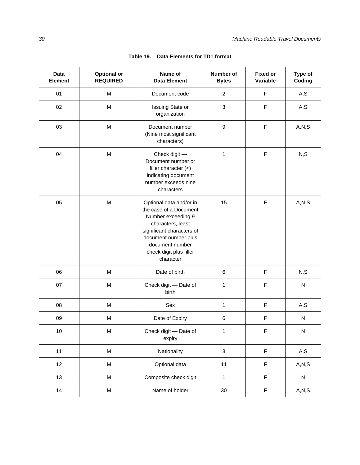| <b>Data</b><br><b>Element</b> | <b>Optional or</b><br><b>REQUIRED</b> | Name of<br><b>Data Element</b>                                                                                                                                                                               | Number of<br><b>Bytes</b> | <b>Fixed or</b><br>Variable | Type of<br>Coding |
|-------------------------------|---------------------------------------|--------------------------------------------------------------------------------------------------------------------------------------------------------------------------------------------------------------|---------------------------|-----------------------------|-------------------|
| 01                            | M                                     | Document code                                                                                                                                                                                                | $\overline{2}$            | F                           | A, S              |
| 02                            | M                                     | Issuing State or<br>organization                                                                                                                                                                             | 3                         | F                           | A, S              |
| 03                            | M                                     | Document number<br>(Nine most significant<br>characters)                                                                                                                                                     | $\boldsymbol{9}$          | $\mathsf F$                 | A, N, S           |
| 04                            | M                                     | Check digit -<br>Document number or<br>filler character $(<)$<br>indicating document<br>number exceeds nine<br>characters                                                                                    | 1                         | $\mathsf F$                 | N, S              |
| 05                            | M                                     | Optional data and/or in<br>the case of a Document<br>Number exceeding 9<br>characters, least<br>significant characters of<br>document number plus<br>document number<br>check digit plus filler<br>character | 15                        | $\mathsf F$                 | A, N, S           |
| 06                            | M                                     | Date of birth                                                                                                                                                                                                | $\,6$                     | $\mathsf F$                 | N, S              |
| 07                            | M                                     | Check digit - Date of<br>birth                                                                                                                                                                               | 1                         | F                           | ${\sf N}$         |
| 08                            | M                                     | Sex                                                                                                                                                                                                          | 1                         | F                           | A, S              |
| 09                            | M                                     | Date of Expiry                                                                                                                                                                                               | 6                         | F                           | N                 |
| $10$                          | M                                     | Check digit - Date of<br>expiry                                                                                                                                                                              | 1                         | $\mathsf F$                 | ${\sf N}$         |
| 11                            | M                                     | Nationality                                                                                                                                                                                                  | $\mathbf{3}$              | $\mathsf F$                 | A, S              |
| 12                            | M                                     | Optional data                                                                                                                                                                                                | 11                        | $\mathsf F$                 | A, N, S           |
| 13                            | M                                     | Composite check digit                                                                                                                                                                                        | $\mathbf{1}$              | F                           | ${\sf N}$         |
| 14                            | M                                     | Name of holder                                                                                                                                                                                               | 30                        | F                           | A, N, S           |

| Table 19. |  | Data Elements for TD1 format |
|-----------|--|------------------------------|
|-----------|--|------------------------------|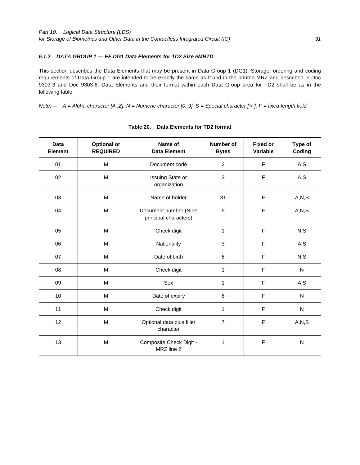## *6.1.2**DATA GROUP 1 — EF.DG1 Data Elements for TD2 Size eMRTD*

This section describes the Data Elements that may be present in Data Group 1 (DG1). Storage, ordering and coding requirements of Data Group 1 are intended to be exactly the same as found in the printed MRZ and described in Doc 9303-3 and Doc 9303-6. Data Elements and their format within each Data Group area for TD2 shall be as in the following table:

*Note.— A = Alpha character [A..Z], N = Numeric character [0..9], S = Special character ['<'], F = fixed-length field.* 

| <b>Data</b><br>Element | Optional or<br><b>REQUIRED</b> | Name of<br><b>Data Element</b>                 | <b>Number of</b><br><b>Bytes</b> | <b>Fixed or</b><br>Variable | Type of<br>Coding |
|------------------------|--------------------------------|------------------------------------------------|----------------------------------|-----------------------------|-------------------|
| 01                     | M                              | Document code                                  | $\overline{2}$                   | F                           | A, S              |
| 02                     | M                              | Issuing State or<br>organization               | 3                                | F                           | A, S              |
| 03                     | M                              | Name of holder                                 | 31                               | F                           | A, N, S           |
| 04                     | M                              | Document number (Nine<br>principal characters) | 9                                | F                           | A, N, S           |
| 05                     | M                              | Check digit                                    | 1                                | F                           | N, S              |
| 06                     | M                              | Nationality                                    | 3                                | F                           | A,S               |
| 07                     | M                              | Date of birth                                  | 6                                | F                           | N, S              |
| 08                     | M                              | Check digit                                    | $\mathbf{1}$                     | F                           | ${\sf N}$         |
| 09                     | M                              | Sex                                            | $\mathbf{1}$                     | F                           | A, S              |
| 10 <sup>1</sup>        | M                              | Date of expiry                                 | 6                                | F                           | N                 |
| 11                     | М                              | Check digit                                    | $\mathbf{1}$                     | F                           | $\mathsf{N}$      |
| 12                     | M                              | Optional data plus filler<br>character         | $\overline{7}$                   | F                           | A, N, S           |
| 13                     | M                              | Composite Check Digit -<br>MRZ line 2          | 1                                | F                           | ${\sf N}$         |

#### **Table 20. Data Elements for TD2 format**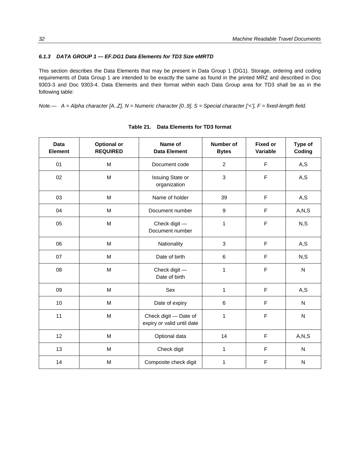## *6.1.3 DATA GROUP 1 — EF.DG1 Data Elements for TD3 Size eMRTD*

This section describes the Data Elements that may be present in Data Group 1 (DG1). Storage, ordering and coding requirements of Data Group 1 are intended to be exactly the same as found in the printed MRZ and described in Doc 9303-3 and Doc 9303-4. Data Elements and their format within each Data Group area for TD3 shall be as in the following table:

*Note.— A = Alpha character [A..Z], N = Numeric character [0..9], S = Special character ['<'], F = fixed-length field.* 

| <b>Data</b><br>Element | <b>Optional or</b><br><b>REQUIRED</b>                                                 | Name of<br><b>Data Element</b>                      | <b>Number of</b><br><b>Bytes</b> | <b>Fixed or</b><br>Variable | Type of<br>Coding |
|------------------------|---------------------------------------------------------------------------------------|-----------------------------------------------------|----------------------------------|-----------------------------|-------------------|
| 01                     | M                                                                                     | Document code                                       | $\overline{c}$                   | F                           | A, S              |
| 02                     | M                                                                                     | Issuing State or<br>organization                    | 3                                | F                           | A, S              |
| 03                     | M                                                                                     | Name of holder                                      | 39                               | F                           | A, S              |
| 04                     | $\mathsf{M}% _{T}=\mathsf{M}_{T}\!\left( a,b\right) ,\ \mathsf{M}_{T}=\mathsf{M}_{T}$ | Document number                                     | 9                                | F                           | A, N, S           |
| 05                     | M                                                                                     | Check digit -<br>Document number                    | 1                                | F                           | N, S              |
| 06                     | M                                                                                     | Nationality                                         | 3                                | F                           | A, S              |
| 07                     | M                                                                                     | Date of birth                                       | 6                                | F                           | N, S              |
| 08                     | $\mathsf{M}% _{T}=\mathsf{M}_{T}\!\left( a,b\right) ,\ \mathsf{M}_{T}=\mathsf{M}_{T}$ | Check digit -<br>Date of birth                      | 1                                | F                           | ${\sf N}$         |
| 09                     | M                                                                                     | Sex                                                 | 1                                | F                           | A, S              |
| 10                     | $\mathsf{M}% _{T}=\mathsf{M}_{T}\!\left( a,b\right) ,\ \mathsf{M}_{T}=\mathsf{M}_{T}$ | Date of expiry                                      | 6                                | F                           | ${\sf N}$         |
| 11                     | M                                                                                     | Check digit - Date of<br>expiry or valid until date | 1                                | F                           | $\mathsf{N}$      |
| 12                     | M                                                                                     | Optional data                                       | 14                               | F                           | A, N, S           |
| 13                     | M                                                                                     | Check digit                                         | 1                                | F                           | N                 |
| 14                     | M                                                                                     | Composite check digit                               | 1                                | F                           | N                 |

#### **Table 21. Data Elements for TD3 format**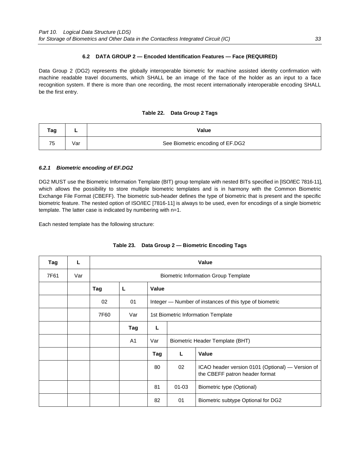### **6.2 DATA GROUP 2 — Encoded Identification Features — Face (REQUIRED)**

Data Group 2 (DG2) represents the globally interoperable biometric for machine assisted identity confirmation with machine readable travel documents, which SHALL be an image of the face of the holder as an input to a face recognition system. If there is more than one recording, the most recent internationally interoperable encoding SHALL be the first entry.

| Table 22. Data Group 2 Tags |  |  |  |  |  |
|-----------------------------|--|--|--|--|--|
|-----------------------------|--|--|--|--|--|

| Tag | -   | Value                            |
|-----|-----|----------------------------------|
| 75  | √ar | See Biometric encoding of EF.DG2 |

#### *6.2.1**Biometric encoding of EF.DG2*

DG2 MUST use the Biometric Information Template (BIT) group template with nested BITs specified in [ISO/IEC 7816-11], which allows the possibility to store multiple biometric templates and is in harmony with the Common Biometric Exchange File Format (CBEFF). The biometric sub-header defines the type of biometric that is present and the specific biometric feature. The nested option of ISO/IEC [7816-11] is always to be used, even for encodings of a single biometric template. The latter case is indicated by numbering with n=1.

Each nested template has the following structure:

| Tag  | L   |      | Value                                       |                                    |           |                                                                                    |  |
|------|-----|------|---------------------------------------------|------------------------------------|-----------|------------------------------------------------------------------------------------|--|
| 7F61 | Var |      | <b>Biometric Information Group Template</b> |                                    |           |                                                                                    |  |
|      |     | Tag  | L                                           | <b>Value</b>                       |           |                                                                                    |  |
|      |     | 02   | 01                                          |                                    |           | Integer — Number of instances of this type of biometric                            |  |
|      |     | 7F60 | Var                                         | 1st Biometric Information Template |           |                                                                                    |  |
|      |     |      | Tag                                         | L                                  |           |                                                                                    |  |
|      |     |      | A <sub>1</sub>                              | Var                                |           | Biometric Header Template (BHT)                                                    |  |
|      |     |      |                                             | Tag                                | L         | <b>Value</b>                                                                       |  |
|      |     |      |                                             | 80                                 | 02        | ICAO header version 0101 (Optional) — Version of<br>the CBEFF patron header format |  |
|      |     |      |                                             | 81                                 | $01 - 03$ | Biometric type (Optional)                                                          |  |
|      |     |      |                                             | 82                                 | 01        | Biometric subtype Optional for DG2                                                 |  |

## **Table 23. Data Group 2 — Biometric Encoding Tags**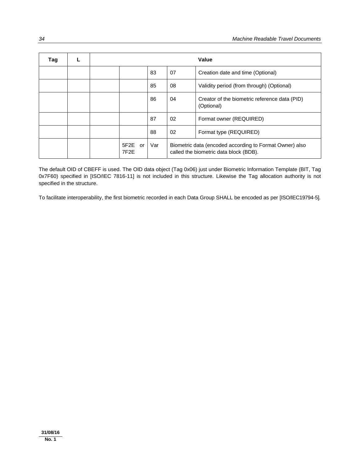| Tag | L |                                 |     |                                                                                                   | Value                                                       |
|-----|---|---------------------------------|-----|---------------------------------------------------------------------------------------------------|-------------------------------------------------------------|
|     |   |                                 | 83  | 07                                                                                                | Creation date and time (Optional)                           |
|     |   |                                 | 85  | 08                                                                                                | Validity period (from through) (Optional)                   |
|     |   |                                 | 86  | 04                                                                                                | Creator of the biometric reference data (PID)<br>(Optional) |
|     |   |                                 | 87  | 02                                                                                                | Format owner (REQUIRED)                                     |
|     |   |                                 | 88  | 02                                                                                                | Format type (REQUIRED)                                      |
|     |   | 5F2E<br>or<br>7F <sub>2</sub> E | Var | Biometric data (encoded according to Format Owner) also<br>called the biometric data block (BDB). |                                                             |

The default OID of CBEFF is used. The OID data object (Tag 0x06) just under Biometric Information Template (BIT, Tag 0x7F60) specified in [ISO/IEC 7816-11] is not included in this structure. Likewise the Tag allocation authority is not specified in the structure.

To facilitate interoperability, the first biometric recorded in each Data Group SHALL be encoded as per [ISO/IEC19794-5].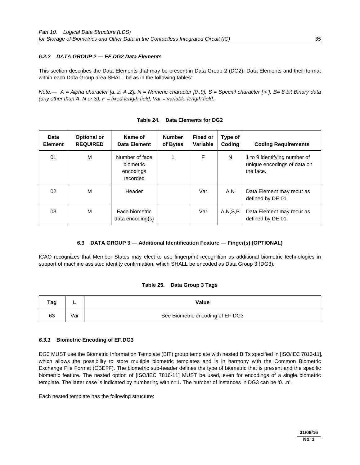## *6.2.2**DATA GROUP 2 — EF.DG2 Data Elements*

This section describes the Data Elements that may be present in Data Group 2 (DG2): Data Elements and their format within each Data Group area SHALL be as in the following tables:

*Note.— A = Alpha character [a..z, A..Z], N = Numeric character [0..9], S = Special character ['<'], B= 8-bit Binary data (any other than A, N or S), F = fixed-length field, Var = variable-length field*.

| Data<br><b>Element</b> | <b>Optional or</b><br><b>REQUIRED</b> | Name of<br>Data Element                              | <b>Number</b><br>of Bytes | <b>Fixed or</b><br>Variable | Type of<br>Coding | <b>Coding Requirements</b>                                               |
|------------------------|---------------------------------------|------------------------------------------------------|---------------------------|-----------------------------|-------------------|--------------------------------------------------------------------------|
| 01                     | м                                     | Number of face<br>biometric<br>encodings<br>recorded |                           | F                           | N                 | 1 to 9 identifying number of<br>unique encodings of data on<br>the face. |
| 02                     | M                                     | Header                                               |                           | Var                         | A,N               | Data Element may recur as<br>defined by DE 01.                           |
| 03                     | м                                     | Face biometric<br>data encoding(s)                   |                           | Var                         | A, N, S, B        | Data Element may recur as<br>defined by DE 01.                           |

## **6.3 DATA GROUP 3 — Additional Identification Feature — Finger(s) (OPTIONAL)**

ICAO recognizes that Member States may elect to use fingerprint recognition as additional biometric technologies in support of machine assisted identity confirmation, which SHALL be encoded as Data Group 3 (DG3).

## **Table 25. Data Group 3 Tags**

| Tag | -   | Value                            |
|-----|-----|----------------------------------|
| 63  | √ar | See Biometric encoding of EF.DG3 |

## *6.3.1* **Biometric Encoding of EF.DG3**

DG3 MUST use the Biometric Information Template (BIT) group template with nested BITs specified in [ISO/IEC 7816-11], which allows the possibility to store multiple biometric templates and is in harmony with the Common Biometric Exchange File Format (CBEFF). The biometric sub-header defines the type of biometric that is present and the specific biometric feature. The nested option of [ISO/IEC 7816-11] MUST be used, even for encodings of a single biometric template. The latter case is indicated by numbering with n=1. The number of instances in DG3 can be '0...n'.

Each nested template has the following structure: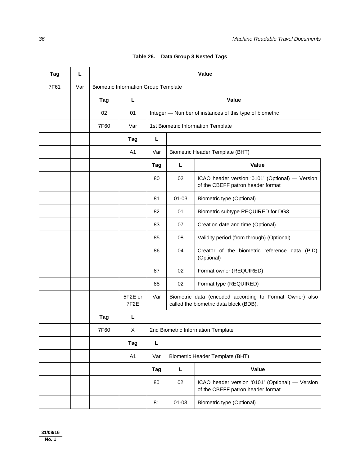| Tag  | Г   |      |                                             |     |                                    | Value                                                                                             |  |  |
|------|-----|------|---------------------------------------------|-----|------------------------------------|---------------------------------------------------------------------------------------------------|--|--|
| 7F61 | Var |      | <b>Biometric Information Group Template</b> |     |                                    |                                                                                                   |  |  |
|      |     | Tag  | L                                           |     |                                    | Value                                                                                             |  |  |
|      |     | 02   | 01                                          |     |                                    | Integer - Number of instances of this type of biometric                                           |  |  |
|      |     | 7F60 | Var                                         |     | 1st Biometric Information Template |                                                                                                   |  |  |
|      |     |      | Tag                                         | L   |                                    |                                                                                                   |  |  |
|      |     |      | A1                                          | Var |                                    | Biometric Header Template (BHT)                                                                   |  |  |
|      |     |      |                                             | Tag | L                                  | Value                                                                                             |  |  |
|      |     |      |                                             | 80  | 02                                 | ICAO header version '0101' (Optional) - Version<br>of the CBEFF patron header format              |  |  |
|      |     |      |                                             | 81  | $01 - 03$                          | Biometric type (Optional)                                                                         |  |  |
|      |     |      |                                             | 82  | 01                                 | Biometric subtype REQUIRED for DG3                                                                |  |  |
|      |     |      |                                             | 83  | 07                                 | Creation date and time (Optional)                                                                 |  |  |
|      |     |      |                                             | 85  | 08                                 | Validity period (from through) (Optional)                                                         |  |  |
|      |     |      |                                             | 86  | 04                                 | Creator of the biometric reference data (PID)<br>(Optional)                                       |  |  |
|      |     |      |                                             | 87  | 02                                 | Format owner (REQUIRED)                                                                           |  |  |
|      |     |      |                                             | 88  | 02                                 | Format type (REQUIRED)                                                                            |  |  |
|      |     |      | 5F2E or<br>7F <sub>2</sub> E                | Var |                                    | Biometric data (encoded according to Format Owner) also<br>called the biometric data block (BDB). |  |  |
|      |     | Tag  | L                                           |     |                                    |                                                                                                   |  |  |
|      |     | 7F60 | X                                           |     |                                    | 2nd Biometric Information Template                                                                |  |  |
|      |     |      | Tag                                         | L   |                                    |                                                                                                   |  |  |
|      |     |      | A1                                          | Var |                                    | <b>Biometric Header Template (BHT)</b>                                                            |  |  |
|      |     |      |                                             | Tag | Г                                  | Value                                                                                             |  |  |
|      |     |      |                                             | 80  | 02                                 | ICAO header version '0101' (Optional) - Version<br>of the CBEFF patron header format              |  |  |
|      |     |      |                                             | 81  | $01 - 03$                          | <b>Biometric type (Optional)</b>                                                                  |  |  |

| Table 26. Data Group 3 Nested Tags |  |  |  |  |
|------------------------------------|--|--|--|--|
|------------------------------------|--|--|--|--|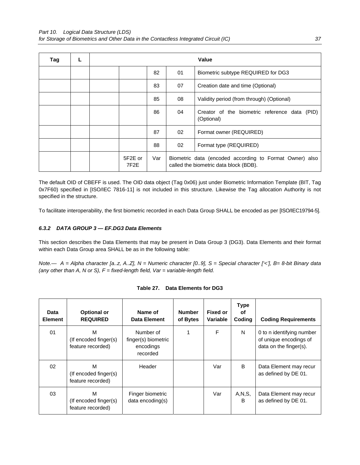| Tag |  |                              |     |                                                                                                   | <b>Value</b>                                                   |  |  |
|-----|--|------------------------------|-----|---------------------------------------------------------------------------------------------------|----------------------------------------------------------------|--|--|
|     |  |                              | 82  | 01                                                                                                | Biometric subtype REQUIRED for DG3                             |  |  |
|     |  |                              | 83  | 07                                                                                                | Creation date and time (Optional)                              |  |  |
|     |  |                              | 85  | 08                                                                                                | Validity period (from through) (Optional)                      |  |  |
|     |  |                              | 86  | 04                                                                                                | Creator of the biometric reference data<br>(PID)<br>(Optional) |  |  |
|     |  |                              | 87  | 02                                                                                                | Format owner (REQUIRED)                                        |  |  |
|     |  |                              | 88  | 02                                                                                                | Format type (REQUIRED)                                         |  |  |
|     |  | 5F2E or<br>7F <sub>2</sub> E | Var | Biometric data (encoded according to Format Owner) also<br>called the biometric data block (BDB). |                                                                |  |  |

The default OID of CBEFF is used. The OID data object (Tag 0x06) just under Biometric Information Template (BIT, Tag 0x7F60) specified in [ISO/IEC 7816-11] is not included in this structure. Likewise the Tag allocation Authority is not specified in the structure.

To facilitate interoperability, the first biometric recorded in each Data Group SHALL be encoded as per [ISO/IEC19794-5].

## *6.3.2**DATA GROUP 3 — EF.DG3 Data Elements*

This section describes the Data Elements that may be present in Data Group 3 (DG3). Data Elements and their format within each Data Group area SHALL be as in the following table:

*Note.— A = Alpha character [a..z, A..Z], N = Numeric character [0..9], S = Special character ['<'], B= 8-bit Binary data (any other than A, N or S), F = fixed-length field, Var = variable-length field.* 

| Data<br><b>Element</b> | <b>Optional or</b><br><b>REQUIRED</b>           | Name of<br>Data Element                                   | <b>Number</b><br>of Bytes | <b>Fixed or</b><br>Variable | <b>Type</b><br>οf<br>Coding | <b>Coding Requirements</b>                                                    |
|------------------------|-------------------------------------------------|-----------------------------------------------------------|---------------------------|-----------------------------|-----------------------------|-------------------------------------------------------------------------------|
| 01                     | M<br>(If encoded finger(s)<br>feature recorded) | Number of<br>finger(s) biometric<br>encodings<br>recorded | 1                         | F                           | N                           | 0 to n identifying number<br>of unique encodings of<br>data on the finger(s). |
| 02                     | M<br>(If encoded finger(s)<br>feature recorded) | Header                                                    |                           | Var                         | B                           | Data Element may recur<br>as defined by DE 01.                                |
| 03                     | м<br>(If encoded finger(s)<br>feature recorded) | Finger biometric<br>data encoding(s)                      |                           | Var                         | A, N, S,<br>B               | Data Element may recur<br>as defined by DE 01.                                |

## **Table 27. Data Elements for DG3**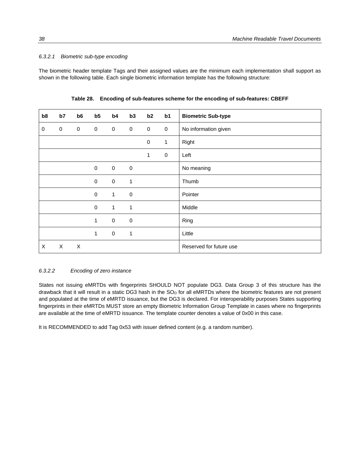#### *6.3.2.1 Biometric sub-type encoding*

The biometric header template Tags and their assigned values are the minimum each implementation shall support as shown in the following table. Each single biometric information template has the following structure:

| b8          | b7        | b <sub>6</sub>            | b5                  | b4             | b3                  | b2                  | b1           | <b>Biometric Sub-type</b> |
|-------------|-----------|---------------------------|---------------------|----------------|---------------------|---------------------|--------------|---------------------------|
| $\mathbf 0$ | $\pmb{0}$ | $\mathbf 0$               | $\mathbf 0$         | $\mathbf 0$    | $\mathsf{O}\xspace$ | $\mathbf 0$         | $\mathbf 0$  | No information given      |
|             |           |                           |                     |                |                     | $\mathsf{O}\xspace$ | $\mathbf{1}$ | Right                     |
|             |           |                           |                     |                |                     | $\mathbf{1}$        | $\mathbf 0$  | Left                      |
|             |           |                           | $\mathbf 0$         | $\mathbf 0$    | $\pmb{0}$           |                     |              | No meaning                |
|             |           |                           | $\pmb{0}$           | $\mathbf 0$    | $\mathbf{1}$        |                     |              | Thumb                     |
|             |           |                           | $\pmb{0}$           | $\overline{1}$ | $\pmb{0}$           |                     |              | Pointer                   |
|             |           |                           | $\mathsf{O}\xspace$ | $\mathbf{1}$   | 1                   |                     |              | Middle                    |
|             |           |                           | 1                   | $\mathbf 0$    | $\pmb{0}$           |                     |              | Ring                      |
|             |           |                           | 1                   | $\mathbf 0$    | $\mathbf{1}$        |                     |              | Little                    |
| X           | X         | $\boldsymbol{\mathsf{X}}$ |                     |                |                     |                     |              | Reserved for future use   |

**Table 28.****Encoding of sub-features scheme for the encoding of sub-features: CBEFF**

#### *6.3.2.2 Encoding of zero instance*

States not issuing eMRTDs with fingerprints SHOULD NOT populate DG3. Data Group 3 of this structure has the drawback that it will result in a static DG3 hash in the  $SO<sub>D</sub>$  for all eMRTDs where the biometric features are not present and populated at the time of eMRTD issuance, but the DG3 is declared. For interoperability purposes States supporting fingerprints in their eMRTDs MUST store an empty Biometric Information Group Template in cases where no fingerprints are available at the time of eMRTD issuance. The template counter denotes a value of 0x00 in this case.

It is RECOMMENDED to add Tag 0x53 with issuer defined content (e.g. a random number).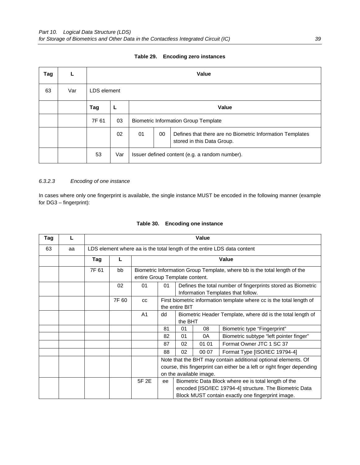| Tag | L   |       | <b>Value</b> |                                             |                                                                                               |  |  |  |  |  |  |
|-----|-----|-------|--------------|---------------------------------------------|-----------------------------------------------------------------------------------------------|--|--|--|--|--|--|
| 63  | Var |       | LDS element  |                                             |                                                                                               |  |  |  |  |  |  |
|     |     | Tag   | L            |                                             | Value                                                                                         |  |  |  |  |  |  |
|     |     | 7F 61 | 03           | <b>Biometric Information Group Template</b> |                                                                                               |  |  |  |  |  |  |
|     |     |       | 02           | 01                                          | 00<br>Defines that there are no Biometric Information Templates<br>stored in this Data Group. |  |  |  |  |  |  |
|     |     | 53    | Var          |                                             | Issuer defined content (e.g. a random number).                                                |  |  |  |  |  |  |

### **Table 29. Encoding zero instances**

## *6.3.2.3 Encoding of one instance*

In cases where only one fingerprint is available, the single instance MUST be encoded in the following manner (example for DG3 – fingerprint):

| Tag |    |       |       |                                |                                                                                                                                                                      |    | Value |                                                                                                                                                                      |  |
|-----|----|-------|-------|--------------------------------|----------------------------------------------------------------------------------------------------------------------------------------------------------------------|----|-------|----------------------------------------------------------------------------------------------------------------------------------------------------------------------|--|
| 63  | aa |       |       |                                |                                                                                                                                                                      |    |       | LDS element where aa is the total length of the entire LDS data content                                                                                              |  |
|     |    | Tag   | L     |                                |                                                                                                                                                                      |    |       | Value                                                                                                                                                                |  |
|     |    | 7F 61 | bb    | entire Group Template content. |                                                                                                                                                                      |    |       | Biometric Information Group Template, where bb is the total length of the                                                                                            |  |
|     |    |       | 02    | 01                             | Defines the total number of fingerprints stored as Biometric<br>01<br>Information Templates that follow.                                                             |    |       |                                                                                                                                                                      |  |
|     |    |       | 7F 60 | CC                             | First biometric information template where cc is the total length of<br>the entire BIT                                                                               |    |       |                                                                                                                                                                      |  |
|     |    |       |       | A1                             | Biometric Header Template, where dd is the total length of<br>dd<br>the BHT                                                                                          |    |       |                                                                                                                                                                      |  |
|     |    |       |       |                                | 81                                                                                                                                                                   | 01 | 08    | Biometric type "Fingerprint"                                                                                                                                         |  |
|     |    |       |       |                                | 82                                                                                                                                                                   | 01 | 0A    | Biometric subtype "left pointer finger"                                                                                                                              |  |
|     |    |       |       |                                | 87                                                                                                                                                                   | 02 | 01 01 | Format Owner JTC 1 SC 37                                                                                                                                             |  |
|     |    |       |       |                                | 88                                                                                                                                                                   | 02 | 00 07 | Format Type [ISO/IEC 19794-4]                                                                                                                                        |  |
|     |    |       |       |                                | Note that the BHT may contain additional optional elements. Of<br>course, this fingerprint can either be a left or right finger depending<br>on the available image. |    |       |                                                                                                                                                                      |  |
|     |    |       |       | 5F 2E                          | ee                                                                                                                                                                   |    |       | Biometric Data Block where ee is total length of the<br>encoded [ISO/IEC 19794-4] structure. The Biometric Data<br>Block MUST contain exactly one fingerprint image. |  |

### **Table 30. Encoding one instance**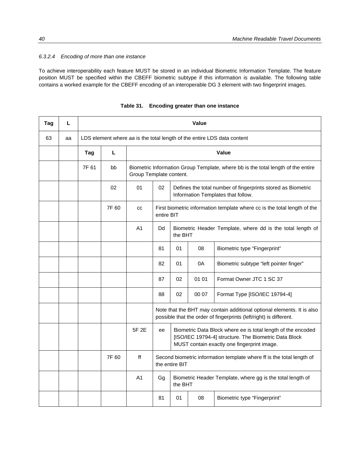#### *6.3.2.4 Encoding of more than one instance*

To achieve interoperability each feature MUST be stored in an individual Biometric Information Template. The feature position MUST be specified within the CBEFF biometric subtype if this information is available. The following table contains a worked example for the CBEFF encoding of an interoperable DG 3 element with two fingerprint images.

| Tag | г  |       | <b>Value</b> |                |                                                                                                             |                |       |                                                                                                                                                                      |  |  |  |
|-----|----|-------|--------------|----------------|-------------------------------------------------------------------------------------------------------------|----------------|-------|----------------------------------------------------------------------------------------------------------------------------------------------------------------------|--|--|--|
| 63  | aa |       |              |                |                                                                                                             |                |       | LDS element where aa is the total length of the entire LDS data content                                                                                              |  |  |  |
|     |    | Tag   | L            |                |                                                                                                             |                |       | Value                                                                                                                                                                |  |  |  |
|     |    | 7F 61 | bb           |                | Biometric Information Group Template, where bb is the total length of the entire<br>Group Template content. |                |       |                                                                                                                                                                      |  |  |  |
|     |    |       | 02           | 01             | 02<br>Defines the total number of fingerprints stored as Biometric<br>Information Templates that follow.    |                |       |                                                                                                                                                                      |  |  |  |
|     |    |       | 7F 60        | CC             | First biometric information template where cc is the total length of the<br>entire BIT                      |                |       |                                                                                                                                                                      |  |  |  |
|     |    |       |              | A <sub>1</sub> | Dd<br>Biometric Header Template, where dd is the total length of<br>the BHT                                 |                |       |                                                                                                                                                                      |  |  |  |
|     |    |       |              |                | 81                                                                                                          | 01             | 08    | Biometric type "Fingerprint"                                                                                                                                         |  |  |  |
|     |    |       |              |                | 82                                                                                                          | 01             | 0A    | Biometric subtype "left pointer finger"                                                                                                                              |  |  |  |
|     |    |       |              |                | 87                                                                                                          | 02             | 01 01 | Format Owner JTC 1 SC 37                                                                                                                                             |  |  |  |
|     |    |       |              |                | 88                                                                                                          | 02             | 00 07 | Format Type [ISO/IEC 19794-4]                                                                                                                                        |  |  |  |
|     |    |       |              |                |                                                                                                             |                |       | Note that the BHT may contain additional optional elements. It is also<br>possible that the order of fingerprints (left/right) is different.                         |  |  |  |
|     |    |       |              | 5F 2E          | ee                                                                                                          |                |       | Biometric Data Block where ee is total length of the encoded<br>[ISO/IEC 19794-4] structure. The Biometric Data Block<br>MUST contain exactly one fingerprint image. |  |  |  |
|     |    |       | 7F 60        | ff             |                                                                                                             | the entire BIT |       | Second biometric information template where ff is the total length of                                                                                                |  |  |  |
|     |    |       |              | A <sub>1</sub> | Gg                                                                                                          | the BHT        |       | Biometric Header Template, where gg is the total length of                                                                                                           |  |  |  |
|     |    |       |              |                | 81                                                                                                          | 01             | 08    | Biometric type "Fingerprint"                                                                                                                                         |  |  |  |

**Table 31. Encoding greater than one instance**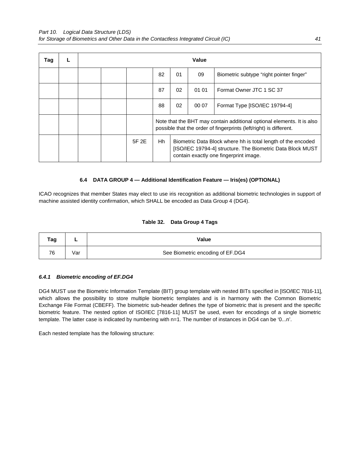| Tag |  |       |                                                                                                                                                                            |    | Value |                                          |  |
|-----|--|-------|----------------------------------------------------------------------------------------------------------------------------------------------------------------------------|----|-------|------------------------------------------|--|
|     |  |       | 82                                                                                                                                                                         | 01 | 09    | Biometric subtype "right pointer finger" |  |
|     |  |       | 87                                                                                                                                                                         | 02 | 01 01 | Format Owner JTC 1 SC 37                 |  |
|     |  |       | 88                                                                                                                                                                         | 02 | 00 07 | Format Type [ISO/IEC 19794-4]            |  |
|     |  |       | Note that the BHT may contain additional optional elements. It is also<br>possible that the order of fingerprints (left/right) is different.                               |    |       |                                          |  |
|     |  | 5F 2E | Hh<br>Biometric Data Block where hh is total length of the encoded<br>[ISO/IEC 19794-4] structure. The Biometric Data Block MUST<br>contain exactly one fingerprint image. |    |       |                                          |  |

#### **6.4 DATA GROUP 4 — Additional Identification Feature — Iris(es) (OPTIONAL)**

ICAO recognizes that member States may elect to use iris recognition as additional biometric technologies in support of machine assisted identity confirmation, which SHALL be encoded as Data Group 4 (DG4).

## **Table 32. Data Group 4 Tags**

| Tag | -   | Value                            |
|-----|-----|----------------------------------|
| 76  | √ar | See Biometric encoding of EF.DG4 |

## *6.4.1**Biometric encoding of EF.DG4*

DG4 MUST use the Biometric Information Template (BIT) group template with nested BITs specified in [ISO/IEC 7816-11], which allows the possibility to store multiple biometric templates and is in harmony with the Common Biometric Exchange File Format (CBEFF). The biometric sub-header defines the type of biometric that is present and the specific biometric feature. The nested option of ISO/IEC [7816-11] MUST be used, even for encodings of a single biometric template. The latter case is indicated by numbering with n=1. The number of instances in DG4 can be '0...n'.

Each nested template has the following structure: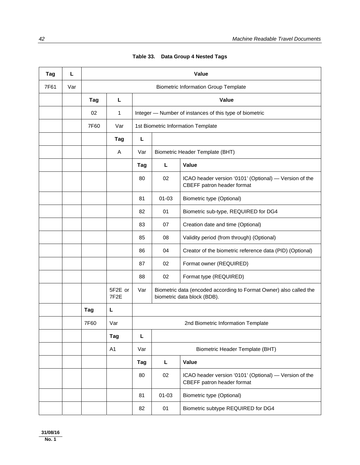| Tag  | L   |      |                              |     |                                 | <b>Value</b>                                                                                      |  |  |
|------|-----|------|------------------------------|-----|---------------------------------|---------------------------------------------------------------------------------------------------|--|--|
| 7F61 | Var |      |                              |     |                                 | <b>Biometric Information Group Template</b>                                                       |  |  |
|      |     | Tag  | L                            |     |                                 | Value                                                                                             |  |  |
|      |     | 02   | $\mathbf{1}$                 |     |                                 | Integer - Number of instances of this type of biometric                                           |  |  |
|      |     | 7F60 | Var                          |     |                                 | 1st Biometric Information Template                                                                |  |  |
|      |     |      | Tag                          | L   |                                 |                                                                                                   |  |  |
|      |     |      | Α                            | Var | Biometric Header Template (BHT) |                                                                                                   |  |  |
|      |     |      |                              | Tag | L                               | Value                                                                                             |  |  |
|      |     |      |                              | 80  | 02                              | ICAO header version '0101' (Optional) - Version of the<br>CBEFF patron header format              |  |  |
|      |     |      |                              | 81  | $01 - 03$                       | Biometric type (Optional)                                                                         |  |  |
|      |     |      |                              | 82  | 01                              | Biometric sub-type, REQUIRED for DG4                                                              |  |  |
|      |     |      |                              | 83  | 07                              | Creation date and time (Optional)                                                                 |  |  |
|      |     |      |                              | 85  | 08                              | Validity period (from through) (Optional)                                                         |  |  |
|      |     |      |                              | 86  | 04                              | Creator of the biometric reference data (PID) (Optional)                                          |  |  |
|      |     |      |                              | 87  | 02                              | Format owner (REQUIRED)                                                                           |  |  |
|      |     |      |                              | 88  | 02                              | Format type (REQUIRED)                                                                            |  |  |
|      |     |      | 5F2E or<br>7F <sub>2</sub> E | Var |                                 | Biometric data (encoded according to Format Owner) also called the<br>biometric data block (BDB). |  |  |
|      |     | Tag  | L                            |     |                                 |                                                                                                   |  |  |
|      |     | 7F60 | Var                          |     |                                 | 2nd Biometric Information Template                                                                |  |  |
|      |     |      | Tag                          | L   |                                 |                                                                                                   |  |  |
|      |     |      | A <sub>1</sub>               | Var |                                 | Biometric Header Template (BHT)                                                                   |  |  |
|      |     |      |                              | Tag | L                               | Value                                                                                             |  |  |
|      |     |      |                              | 80  | 02                              | ICAO header version '0101' (Optional) — Version of the<br>CBEFF patron header format              |  |  |
|      |     |      |                              | 81  | $01 - 03$                       | <b>Biometric type (Optional)</b>                                                                  |  |  |
|      |     |      |                              | 82  | 01                              | Biometric subtype REQUIRED for DG4                                                                |  |  |

**Table 33.****Data Group 4 Nested Tags**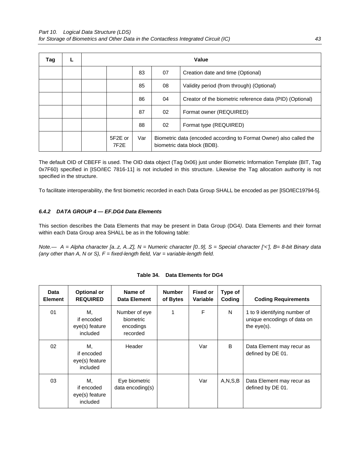| Tag |  |                              |     |                                                                                                   | Value                                                    |  |
|-----|--|------------------------------|-----|---------------------------------------------------------------------------------------------------|----------------------------------------------------------|--|
|     |  |                              | 83  | 07                                                                                                | Creation date and time (Optional)                        |  |
|     |  |                              | 85  | 08                                                                                                | Validity period (from through) (Optional)                |  |
|     |  |                              | 86  | 04                                                                                                | Creator of the biometric reference data (PID) (Optional) |  |
|     |  |                              | 87  | 02                                                                                                | Format owner (REQUIRED)                                  |  |
|     |  |                              | 88  | 02                                                                                                | Format type (REQUIRED)                                   |  |
|     |  | 5F2F or<br>7F <sub>2</sub> F | Var | Biometric data (encoded according to Format Owner) also called the<br>biometric data block (BDB). |                                                          |  |

The default OID of CBEFF is used. The OID data object (Tag 0x06) just under Biometric Information Template (BIT, Tag 0x7F60) specified in [ISO/IEC 7816-11] is not included in this structure. Likewise the Tag allocation authority is not specified in the structure.

To facilitate interoperability, the first biometric recorded in each Data Group SHALL be encoded as per [ISO/IEC19794-5].

## *6.4.2**DATA GROUP 4 — EF.DG4 Data Elements*

This section describes the Data Elements that may be present in Data Group (DG4*)*. Data Elements and their format within each Data Group area SHALL be as in the following table:

| Data<br><b>Element</b> | <b>Optional or</b><br><b>REQUIRED</b>          | Name of<br>Data Element                             | <b>Number</b><br>of Bytes | <b>Fixed or</b><br>Variable | Type of<br>Coding | <b>Coding Requirements</b>                                                    |
|------------------------|------------------------------------------------|-----------------------------------------------------|---------------------------|-----------------------------|-------------------|-------------------------------------------------------------------------------|
| 01                     | М.<br>if encoded<br>eye(s) feature<br>included | Number of eye<br>biometric<br>encodings<br>recorded | 1                         | F                           | N                 | 1 to 9 identifying number of<br>unique encodings of data on<br>the $eye(s)$ . |
| 02                     | М.<br>if encoded<br>eye(s) feature<br>included | Header                                              |                           | Var                         | B                 | Data Element may recur as<br>defined by DE 01.                                |
| 03                     | М.<br>if encoded<br>eye(s) feature<br>included | Eye biometric<br>data encoding(s)                   |                           | Var                         | A, N, S, B        | Data Element may recur as<br>defined by DE 01.                                |

| Table 34. | <b>Data Elements for DG4</b> |
|-----------|------------------------------|
|           |                              |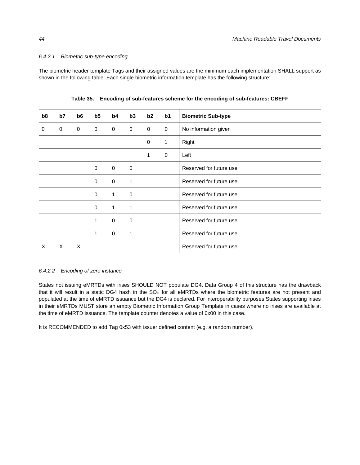#### *6.4.2.1 Biometric sub-type encoding*

The biometric header template Tags and their assigned values are the minimum each implementation SHALL support as shown in the following table. Each single biometric information template has the following structure:

| b8 | b7          | b <sub>6</sub> | b5          | b4           | b3          | b2          | b <sub>1</sub> | <b>Biometric Sub-type</b> |
|----|-------------|----------------|-------------|--------------|-------------|-------------|----------------|---------------------------|
| 0  | $\mathbf 0$ | $\mathbf 0$    | 0           | $\mathbf 0$  | $\mathbf 0$ | $\mathbf 0$ | 0              | No information given      |
|    |             |                |             |              |             | 0           | 1              | Right                     |
|    |             |                |             |              |             | 1           | $\mathbf 0$    | Left                      |
|    |             |                | $\mathbf 0$ | $\mathbf 0$  | $\mathbf 0$ |             |                | Reserved for future use   |
|    |             |                | 0           | $\mathbf 0$  | 1           |             |                | Reserved for future use   |
|    |             |                | $\mathbf 0$ | $\mathbf{1}$ | $\mathbf 0$ |             |                | Reserved for future use   |
|    |             |                | $\Omega$    | $\mathbf{1}$ | 1           |             |                | Reserved for future use   |
|    |             |                | 1           | $\mathbf 0$  | $\mathbf 0$ |             |                | Reserved for future use   |
|    |             |                | 1           | $\mathbf 0$  | 1           |             |                | Reserved for future use   |
| X  | $\times$    | X              |             |              |             |             |                | Reserved for future use   |

**Table 35. Encoding of sub-features scheme for the encoding of sub-features: CBEFF**

#### *6.4.2.2 Encoding of zero instance*

States not issuing eMRTDs with irises SHOULD NOT populate DG4. Data Group 4 of this structure has the drawback that it will result in a static DG4 hash in the  $SO<sub>D</sub>$  for all eMRTDs where the biometric features are not present and populated at the time of eMRTD issuance but the DG4 is declared. For interoperability purposes States supporting irises in their eMRTDs MUST store an empty Biometric Information Group Template in cases where no irises are available at the time of eMRTD issuance. The template counter denotes a value of 0x00 in this case.

It is RECOMMENDED to add Tag 0x53 with issuer defined content (e.g. a random number).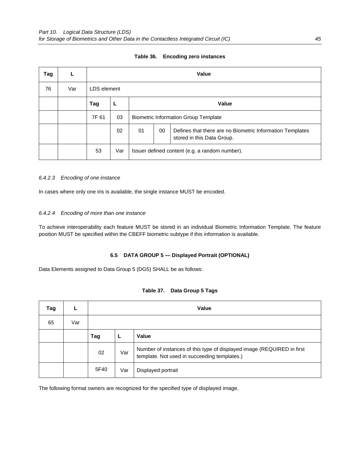| Tag |     | <b>Value</b> |             |                                                                                                     |              |  |  |  |  |
|-----|-----|--------------|-------------|-----------------------------------------------------------------------------------------------------|--------------|--|--|--|--|
| 76  | Var |              | LDS element |                                                                                                     |              |  |  |  |  |
|     |     | Tag          |             |                                                                                                     | <b>Value</b> |  |  |  |  |
|     |     | 7F 61        | 03          | <b>Biometric Information Group Template</b>                                                         |              |  |  |  |  |
|     |     |              | 02          | 00<br>01<br>Defines that there are no Biometric Information Templates<br>stored in this Data Group. |              |  |  |  |  |
|     |     | 53           | Var         | Issuer defined content (e.g. a random number).                                                      |              |  |  |  |  |

#### **Table 36. Encoding zero instances**

#### *6.4.2.3 Encoding of one instance*

In cases where only one iris is available, the single instance MUST be encoded.

### *6.4.2.4 Encoding of more than one instance*

To achieve interoperability each feature MUST be stored in an individual Biometric Information Template. The feature position MUST be specified within the CBEFF biometric subtype if this information is available.

#### **6.5 DATA GROUP 5 — Displayed Portrait (OPTIONAL)**

Data Elements assigned to Data Group 5 (DG5) SHALL be as follows:

|  | Table 37. Data Group 5 Tags |  |
|--|-----------------------------|--|
|--|-----------------------------|--|

| Tag |     |      | Value |                                                                                                                        |  |  |  |  |
|-----|-----|------|-------|------------------------------------------------------------------------------------------------------------------------|--|--|--|--|
| 65  | Var |      |       |                                                                                                                        |  |  |  |  |
|     |     | Tag  |       | Value                                                                                                                  |  |  |  |  |
|     |     | 02   | Var   | Number of instances of this type of displayed image (REQUIRED in first<br>template. Not used in succeeding templates.) |  |  |  |  |
|     |     | 5F40 | Var   | Displayed portrait                                                                                                     |  |  |  |  |

The following format owners are recognized for the specified type of displayed image.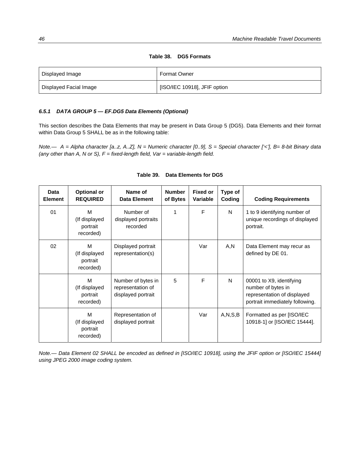| Displayed Image        | <b>Format Owner</b>          |
|------------------------|------------------------------|
| Displayed Facial Image | [ISO/IEC 10918], JFIF option |

### **Table 38. DG5 Formats**

#### *6.5.1**DATA GROUP 5 — EF.DG5 Data Elements (Optional)*

This section describes the Data Elements that may be present in Data Group 5 (DG5). Data Elements and their format within Data Group 5 SHALL be as in the following table:

*Note.— A = Alpha character [a..z, A..Z], N = Numeric character [0..9], S = Special character ['<'], B= 8-bit Binary data (any other than A, N or S), F = fixed-length field, Var = variable-length field.* 

| Data<br><b>Element</b> | <b>Optional or</b><br><b>REQUIRED</b>       | Name of<br><b>Data Element</b>                                | <b>Number</b><br>of Bytes | <b>Fixed or</b><br>Variable | Type of<br>Coding | <b>Coding Requirements</b>                                                                                       |
|------------------------|---------------------------------------------|---------------------------------------------------------------|---------------------------|-----------------------------|-------------------|------------------------------------------------------------------------------------------------------------------|
| 01                     | M<br>(If displayed<br>portrait<br>recorded) | Number of<br>displayed portraits<br>recorded                  | 1                         | F                           | N                 | 1 to 9 identifying number of<br>unique recordings of displayed<br>portrait.                                      |
| 02                     | M<br>(If displayed<br>portrait<br>recorded) | Displayed portrait<br>representation(s)                       |                           | Var                         | A,N               | Data Element may recur as<br>defined by DE 01.                                                                   |
|                        | M<br>(If displayed<br>portrait<br>recorded) | Number of bytes in<br>representation of<br>displayed portrait | 5                         | F                           | N                 | 00001 to X9, identifying<br>number of bytes in<br>representation of displayed<br>portrait immediately following. |
|                        | M<br>(If displayed<br>portrait<br>recorded) | Representation of<br>displayed portrait                       |                           | Var                         | A, N, S, B        | Formatted as per [ISO/IEC<br>10918-1] or [ISO/IEC 15444].                                                        |

## **Table 39. Data Elements for DG5**

*Note.*— Data Element 02 SHALL be encoded as defined in [ISO/IEC 10918], using the JFIF option or [ISO/IEC 15444] *using JPEG 2000 image coding system.*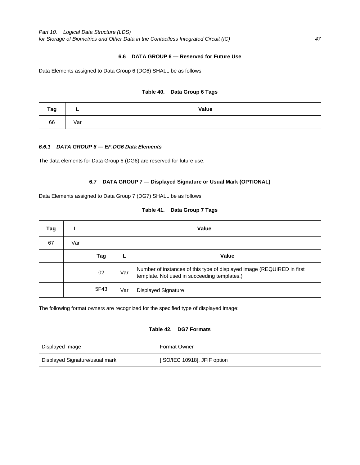## **6.6 DATA GROUP 6 — Reserved for Future Use**

Data Elements assigned to Data Group 6 (DG6) SHALL be as follows:

### **Table 40. Data Group 6 Tags**

| Tag |     | Value |
|-----|-----|-------|
| 66  | Var |       |

#### *6.6.1**DATA GROUP 6 — EF.DG6 Data Elements*

The data elements for Data Group 6 (DG6) are reserved for future use.

#### **6.7 DATA GROUP 7 — Displayed Signature or Usual Mark (OPTIONAL)**

Data Elements assigned to Data Group 7 (DG7) SHALL be as follows:

| Tag |     | Value |     |                                                                                                                        |  |  |  |  |
|-----|-----|-------|-----|------------------------------------------------------------------------------------------------------------------------|--|--|--|--|
| 67  | Var |       |     |                                                                                                                        |  |  |  |  |
|     |     | Tag   |     | <b>Value</b>                                                                                                           |  |  |  |  |
|     |     | 02    | Var | Number of instances of this type of displayed image (REQUIRED in first<br>template. Not used in succeeding templates.) |  |  |  |  |
|     |     | 5F43  | Var | <b>Displayed Signature</b>                                                                                             |  |  |  |  |

## **Table 41. Data Group 7 Tags**

The following format owners are recognized for the specified type of displayed image:

## **Table 42. DG7 Formats**

| Displayed Image                | <b>Format Owner</b>          |  |  |  |
|--------------------------------|------------------------------|--|--|--|
| Displayed Signature/usual mark | [ISO/IEC 10918], JFIF option |  |  |  |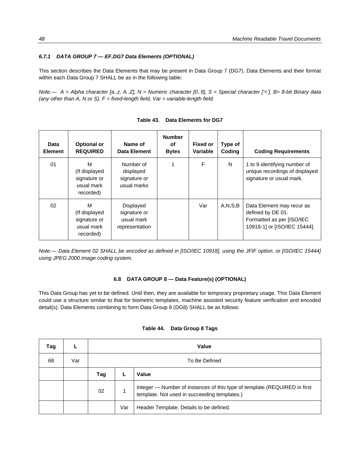#### *6.7.1**DATA GROUP 7 — EF.DG7 Data Elements (OPTIONAL)*

This section describes the Data Elements that may be present in Data Group 7 (DG7). Data Elements and their format within each Data Group 7 SHALL be as in the following table:

*Note.— A = Alpha character [a..z, A..Z], N = Numeric character [0..9], S = Special character ['<'], B= 8-bit Binary data (any other than A, N or S), F = fixed-length field, Var = variable-length field.* 

| Data<br><b>Element</b> | <b>Optional or</b><br><b>REQUIRED</b>                         | Name of<br>Data Element                                   | <b>Number</b><br>оf<br><b>Bytes</b> | <b>Fixed or</b><br>Variable | Type of<br>Coding | <b>Coding Requirements</b>                                                                                  |
|------------------------|---------------------------------------------------------------|-----------------------------------------------------------|-------------------------------------|-----------------------------|-------------------|-------------------------------------------------------------------------------------------------------------|
| 01                     | M<br>(If displayed<br>signature or<br>usual mark<br>recorded) | Number of<br>displayed<br>signature or<br>usual marks     | 1                                   | F                           | N                 | 1 to 9 identifying number of<br>unique recordings of displayed<br>signature or usual mark.                  |
| 02                     | M<br>(If displayed<br>signature or<br>usual mark<br>recorded) | Displayed<br>signature or<br>usual mark<br>representation |                                     | Var                         | A, N, S, B        | Data Element may recur as<br>defined by DE 01.<br>Formatted as per [ISO/IEC<br>10918-1] or [ISO/IEC 15444]. |

**Table 43. Data Elements for DG7** 

*Note.— Data Element 02 SHALL be encoded as defined in [ISO/IEC 10918], using the JFIF option, or [ISO/IEC 15444] using JPEG 2000 image coding system.* 

#### **6.8 DATA GROUP 8 — Data Feature(s) (OPTIONAL)**

This Data Group has yet to be defined. Until then, they are available for temporary proprietary usage. This Data Element could use a structure similar to that for biometric templates, machine assisted security feature verification and encoded detail(s). Data Elements combining to form Data Group 8 (DG8) SHALL be as follows:

| Tag |     |     | Value         |                                                                                                                           |  |  |  |  |
|-----|-----|-----|---------------|---------------------------------------------------------------------------------------------------------------------------|--|--|--|--|
| 68  | Var |     | To Be Defined |                                                                                                                           |  |  |  |  |
|     |     | Tag |               | Value                                                                                                                     |  |  |  |  |
|     |     | 02  |               | Integer - Number of instances of this type of template (REQUIRED in first<br>template. Not used in succeeding templates.) |  |  |  |  |
|     |     |     | Var           | Header Template. Details to be defined.                                                                                   |  |  |  |  |

#### **Table 44. Data Group 8 Tags**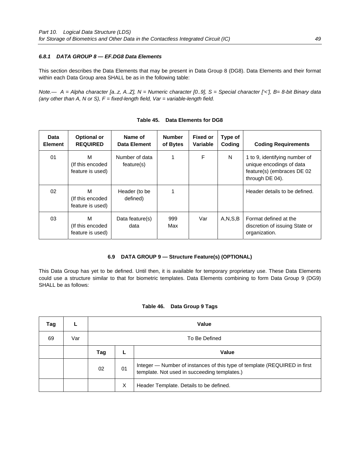## *6.8.1 DATA GROUP 8 — EF.DG8 Data Elements*

This section describes the Data Elements that may be present in Data Group 8 (DG8). Data Elements and their format within each Data Group area SHALL be as in the following table:

*Note.— A = Alpha character [a..z, A..Z], N = Numeric character [0..9], S = Special character ['<'], B= 8-bit Binary data (any other than A, N or S), F = fixed-length field, Var = variable-length field.* 

| Data<br><b>Element</b> | <b>Optional or</b><br><b>REQUIRED</b>     | Name of<br>Data Element      | <b>Number</b><br>of Bytes | <b>Fixed or</b><br>Variable | Type of<br>Coding | <b>Coding Requirements</b>                                                                                 |
|------------------------|-------------------------------------------|------------------------------|---------------------------|-----------------------------|-------------------|------------------------------------------------------------------------------------------------------------|
| 01                     | м<br>(If this encoded<br>feature is used) | Number of data<br>feature(s) |                           | F                           | N                 | 1 to 9, identifying number of<br>unique encodings of data<br>feature(s) (embraces DE 02<br>through DE 04). |
| 02                     | м<br>(If this encoded<br>feature is used) | Header (to be<br>defined)    |                           |                             |                   | Header details to be defined.                                                                              |
| 03                     | м<br>(If this encoded<br>feature is used) | Data feature(s)<br>data      | 999<br>Max                | Var                         | A.N.S.B           | Format defined at the<br>discretion of issuing State or<br>organization.                                   |

| Table 45. Data Elements for DG8 |
|---------------------------------|
|---------------------------------|

## **6.9 DATA GROUP 9 — Structure Feature(s) (OPTIONAL)**

This Data Group has yet to be defined. Until then, it is available for temporary proprietary use. These Data Elements could use a structure similar to that for biometric templates. Data Elements combining to form Data Group 9 (DG9) SHALL be as follows:

## **Table 46. Data Group 9 Tags**

| Tag |     | Value |               |                                                                                                                           |  |  |  |
|-----|-----|-------|---------------|---------------------------------------------------------------------------------------------------------------------------|--|--|--|
| 69  | Var |       | To Be Defined |                                                                                                                           |  |  |  |
|     |     | Tag   |               | <b>Value</b>                                                                                                              |  |  |  |
|     |     | 02    | 01            | Integer - Number of instances of this type of template (REQUIRED in first<br>template. Not used in succeeding templates.) |  |  |  |
|     |     |       | X             | Header Template. Details to be defined.                                                                                   |  |  |  |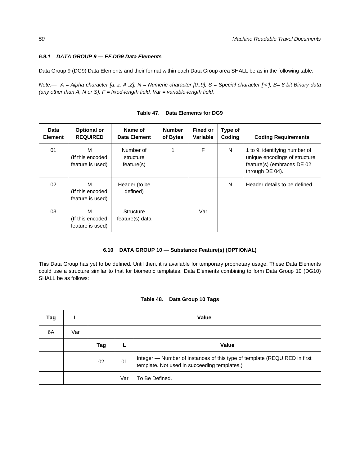## *6.9.1 DATA GROUP 9 — EF.DG9 Data Elements*

Data Group 9 (DG9) Data Elements and their format within each Data Group area SHALL be as in the following table:

*Note.— A = Alpha character [a..z, A..Z], N = Numeric character [0..9], S = Special character ['<'], B= 8-bit Binary data (any other than A, N or S), F = fixed-length field, Var = variable-length field.* 

| Data<br><b>Element</b> | <b>Optional or</b><br><b>REQUIRED</b>      | Name of<br>Data Element              | <b>Number</b><br>of Bytes | <b>Fixed or</b><br>Variable | Type of<br>Coding | <b>Coding Requirements</b>                                                                                      |
|------------------------|--------------------------------------------|--------------------------------------|---------------------------|-----------------------------|-------------------|-----------------------------------------------------------------------------------------------------------------|
| 01                     | M<br>(If this encoded)<br>feature is used) | Number of<br>structure<br>feature(s) |                           | F                           | N                 | 1 to 9, identifying number of<br>unique encodings of structure<br>feature(s) (embraces DE 02<br>through DE 04). |
| 02                     | м<br>(If this encoded)<br>feature is used) | Header (to be<br>defined)            |                           |                             | N                 | Header details to be defined                                                                                    |
| 03                     | M<br>(If this encoded)<br>feature is used) | Structure<br>feature(s) data         |                           | Var                         |                   |                                                                                                                 |

### **6.10 DATA GROUP 10 — Substance Feature(s) (OPTIONAL)**

This Data Group has yet to be defined. Until then, it is available for temporary proprietary usage. These Data Elements could use a structure similar to that for biometric templates. Data Elements combining to form Data Group 10 (DG10) SHALL be as follows:

#### **Table 48. Data Group 10 Tags**

| Tag |     | Value |     |                                                                                                                           |  |  |  |
|-----|-----|-------|-----|---------------------------------------------------------------------------------------------------------------------------|--|--|--|
| 6A  | Var |       |     |                                                                                                                           |  |  |  |
|     |     | Tag   |     | <b>Value</b>                                                                                                              |  |  |  |
|     |     | 02    | 01  | Integer - Number of instances of this type of template (REQUIRED in first<br>template. Not used in succeeding templates.) |  |  |  |
|     |     |       | Var | To Be Defined.                                                                                                            |  |  |  |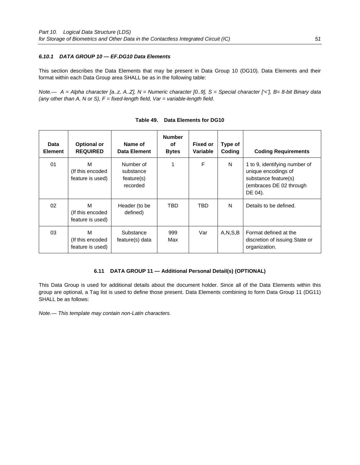## *6.10.1**DATA GROUP 10 — EF.DG10 Data Elements*

This section describes the Data Elements that may be present in Data Group 10 (DG10). Data Elements and their format within each Data Group area SHALL be as in the following table:

*Note.— A = Alpha character [a..z, A..Z], N = Numeric character [0..9], S = Special character ['<'], B= 8-bit Binary data (any other than A, N or S), F = fixed-length field, Var = variable-length field.* 

| Data<br><b>Element</b> | <b>Optional or</b><br><b>REQUIRED</b>     | Name of<br>Data Element                          | <b>Number</b><br>οf<br><b>Bytes</b> | Fixed or<br>Variable | Type of<br>Coding | <b>Coding Requirements</b>                                                                                         |
|------------------------|-------------------------------------------|--------------------------------------------------|-------------------------------------|----------------------|-------------------|--------------------------------------------------------------------------------------------------------------------|
| 01                     | м<br>(If this encoded<br>feature is used) | Number of<br>substance<br>feature(s)<br>recorded |                                     | F                    | N                 | 1 to 9, identifying number of<br>unique encodings of<br>substance feature(s)<br>(embraces DE 02 through<br>DE 04). |
| 02                     | м<br>(If this encoded<br>feature is used) | Header (to be<br>defined)                        | TBD                                 | TBD.                 | N                 | Details to be defined.                                                                                             |
| 03                     | м<br>(If this encoded<br>feature is used) | Substance<br>feature(s) data                     | 999<br>Max                          | Var                  | A.N.S.B           | Format defined at the<br>discretion of issuing State or<br>organization.                                           |

| Table 49. | Data Elements for DG10 |  |
|-----------|------------------------|--|
|-----------|------------------------|--|

## **6.11 DATA GROUP 11 — Additional Personal Detail(s) (OPTIONAL)**

This Data Group is used for additional details about the document holder. Since all of the Data Elements within this group are optional, a Tag list is used to define those present. Data Elements combining to form Data Group 11 (DG11) SHALL be as follows:

*Note.— This template may contain non-Latin characters.*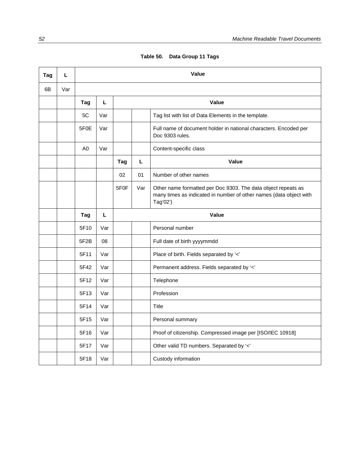| Table 50. Data Group 11 Tags |  |  |  |  |
|------------------------------|--|--|--|--|
|------------------------------|--|--|--|--|

| Taq | L   | <b>Value</b>      |     |                   |     |                                                                                                                                                 |  |  |  |
|-----|-----|-------------------|-----|-------------------|-----|-------------------------------------------------------------------------------------------------------------------------------------------------|--|--|--|
| 6B  | Var |                   |     |                   |     |                                                                                                                                                 |  |  |  |
|     |     | Tag               | L   |                   |     | Value                                                                                                                                           |  |  |  |
|     |     | 5C                | Var |                   |     | Tag list with list of Data Elements in the template.                                                                                            |  |  |  |
|     |     | 5F <sub>0</sub> E | Var |                   |     | Full name of document holder in national characters. Encoded per<br>Doc 9303 rules.                                                             |  |  |  |
|     |     | A0                | Var |                   |     | Content-specific class                                                                                                                          |  |  |  |
|     |     |                   |     | Tag               | L   | Value                                                                                                                                           |  |  |  |
|     |     |                   |     | 02                | 01  | Number of other names                                                                                                                           |  |  |  |
|     |     |                   |     | 5F <sub>0</sub> F | Var | Other name formatted per Doc 9303. The data object repeats as<br>many times as indicated in number of other names (data object with<br>Tag'02') |  |  |  |
|     |     | Tag               | L   | Value             |     |                                                                                                                                                 |  |  |  |
|     |     | 5F10              | Var |                   |     | Personal number                                                                                                                                 |  |  |  |
|     |     | 5F <sub>2</sub> B | 08  |                   |     | Full date of birth yyyymmdd                                                                                                                     |  |  |  |
|     |     | 5F11              | Var |                   |     | Place of birth. Fields separated by '<'                                                                                                         |  |  |  |
|     |     | 5F42              | Var |                   |     | Permanent address. Fields separated by '<'                                                                                                      |  |  |  |
|     |     | 5F12              | Var |                   |     | Telephone                                                                                                                                       |  |  |  |
|     |     | 5F13              | Var |                   |     | Profession                                                                                                                                      |  |  |  |
|     |     | 5F14              | Var |                   |     | Title                                                                                                                                           |  |  |  |
|     |     | 5F15              | Var |                   |     | Personal summary                                                                                                                                |  |  |  |
|     |     | 5F16              | Var |                   |     | Proof of citizenship. Compressed image per [ISO/IEC 10918]                                                                                      |  |  |  |
|     |     | 5F17              | Var |                   |     | Other valid TD numbers. Separated by '<'                                                                                                        |  |  |  |
|     |     | 5F18              | Var |                   |     | Custody information                                                                                                                             |  |  |  |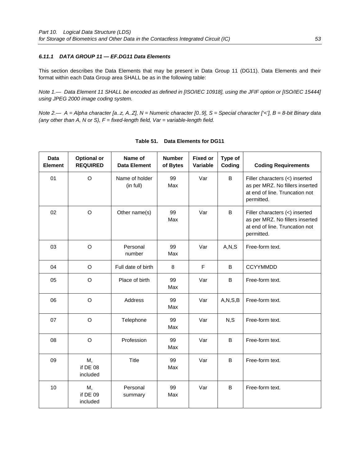## *6.11.1**DATA GROUP 11 — EF.DG11 Data Elements*

This section describes the Data Elements that may be present in Data Group 11 (DG11). Data Elements and their format within each Data Group area SHALL be as in the following table:

*Note 1.— Data Element 11 SHALL be encoded as defined in [ISO/IEC 10918], using the JFIF option or [ISO/IEC 15444] using JPEG 2000 image coding system.* 

*Note 2.— A = Alpha character [a..z, A..Z], N = Numeric character [0..9], S = Special character ['<'], B = 8-bit Binary data (any other than A, N or S), F = fixed-length field, Var = variable-length field.* 

| <b>Data</b><br><b>Element</b> | <b>Optional or</b><br><b>REQUIRED</b> | Name of<br><b>Data Element</b> | <b>Number</b><br>of Bytes | <b>Fixed or</b><br>Variable | Type of<br>Coding | <b>Coding Requirements</b>                                                                                        |
|-------------------------------|---------------------------------------|--------------------------------|---------------------------|-----------------------------|-------------------|-------------------------------------------------------------------------------------------------------------------|
| 01                            | $\circ$                               | Name of holder<br>(in full)    | 99<br>Max                 | Var                         | B                 | Filler characters (<) inserted<br>as per MRZ. No fillers inserted<br>at end of line. Truncation not<br>permitted. |
| 02                            | $\circ$                               | Other name(s)                  | 99<br>Max                 | Var                         | $\sf B$           | Filler characters (<) inserted<br>as per MRZ. No fillers inserted<br>at end of line. Truncation not<br>permitted. |
| 03                            | $\circ$                               | Personal<br>number             | 99<br>Max                 | Var                         | A, N, S           | Free-form text.                                                                                                   |
| 04                            | $\circ$                               | Full date of birth             | 8                         | $\mathsf F$                 | B                 | <b>CCYYMMDD</b>                                                                                                   |
| 05                            | $\circ$                               | Place of birth                 | 99<br>Max                 | Var                         | B                 | Free-form text.                                                                                                   |
| 06                            | O                                     | Address                        | 99<br>Max                 | Var                         | A, N, S, B        | Free-form text.                                                                                                   |
| 07                            | $\circ$                               | Telephone                      | 99<br>Max                 | Var                         | N, S              | Free-form text.                                                                                                   |
| 08                            | $\circ$                               | Profession                     | 99<br>Max                 | Var                         | B                 | Free-form text.                                                                                                   |
| 09                            | М,<br>if DE 08<br>included            | <b>Title</b>                   | 99<br>Max                 | Var                         | B                 | Free-form text.                                                                                                   |
| 10                            | М,<br>if DE 09<br>included            | Personal<br>summary            | 99<br>Max                 | Var                         | B                 | Free-form text.                                                                                                   |

#### **Table 51. Data Elements for DG11**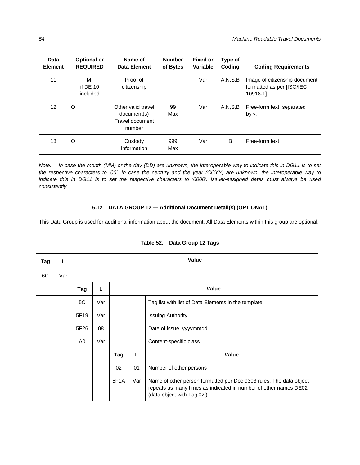| Data<br><b>Element</b> | <b>Optional or</b><br><b>REQUIRED</b> | Name of<br>Data Element                                        | <b>Number</b><br>of Bytes | <b>Fixed or</b><br>Variable | Type of<br>Coding | <b>Coding Requirements</b>                                             |
|------------------------|---------------------------------------|----------------------------------------------------------------|---------------------------|-----------------------------|-------------------|------------------------------------------------------------------------|
| 11                     | М,<br>if $DE$ 10<br>included          | Proof of<br>citizenship                                        |                           | Var                         | A, N, S, B        | Image of citizenship document<br>formatted as per [ISO/IEC<br>10918-11 |
| 12                     | O                                     | Other valid travel<br>document(s)<br>Travel document<br>number | 99<br>Max                 | Var                         | A, N, S, B        | Free-form text, separated<br>$by <$ .                                  |
| 13                     | O                                     | Custody<br>information                                         | 999<br>Max                | Var                         | B                 | Free-form text.                                                        |

*Note.— In case the month (MM) or the day (DD) are unknown, the interoperable way to indicate this in DG11 is to set the respective characters to '00'. In case the century and the year (CCYY) are unknown, the interoperable way to indicate this in DG11 is to set the respective characters to '0000'. Issuer-assigned dates must always be used consistently.* 

### **6.12 DATA GROUP 12 — Additional Document Detail(s) (OPTIONAL)**

This Data Group is used for additional information about the document. All Data Elements within this group are optional.

| Tag | L   | Value |     |      |       |                                                                                                                                                                       |  |
|-----|-----|-------|-----|------|-------|-----------------------------------------------------------------------------------------------------------------------------------------------------------------------|--|
| 6C  | Var |       |     |      |       |                                                                                                                                                                       |  |
|     |     | Tag   | L   |      | Value |                                                                                                                                                                       |  |
|     |     | 5C    | Var |      |       | Tag list with list of Data Elements in the template                                                                                                                   |  |
|     |     | 5F19  | Var |      |       | <b>Issuing Authority</b>                                                                                                                                              |  |
|     |     | 5F26  | 08  |      |       | Date of issue. yyyymmdd                                                                                                                                               |  |
|     |     | A0    | Var |      |       | Content-specific class                                                                                                                                                |  |
|     |     |       |     | Tag  | L     | <b>Value</b>                                                                                                                                                          |  |
|     |     |       |     | 02   | 01    | Number of other persons                                                                                                                                               |  |
|     |     |       |     | 5F1A | Var   | Name of other person formatted per Doc 9303 rules. The data object<br>repeats as many times as indicated in number of other names DE02<br>(data object with Tag'02'). |  |

#### **Table 52. Data Group 12 Tags**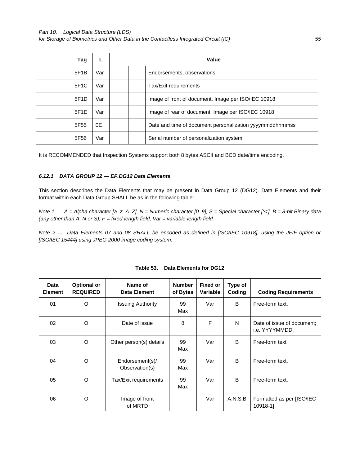| Tag              |     | Value |                                                          |  |
|------------------|-----|-------|----------------------------------------------------------|--|
| 5F1B             | Var |       | Endorsements, observations                               |  |
| 5F1C             | Var |       | Tax/Exit requirements                                    |  |
| 5F1D             | Var |       | Image of front of document. Image per ISO/IEC 10918      |  |
| 5F1E             | Var |       | Image of rear of document. Image per ISO/IEC 10918       |  |
| 5F <sub>55</sub> | 0E  |       | Date and time of document personalization yyyymmddhhmmss |  |
| 5F56             | Var |       | Serial number of personalization system                  |  |

It is RECOMMENDED that Inspection Systems support both 8 bytes ASCII and BCD date/time encoding.

## *6.12.1 DATA GROUP 12 — EF.DG12 Data Elements*

This section describes the Data Elements that may be present in Data Group 12 (DG12). Data Elements and their format within each Data Group SHALL be as in the following table:

*Note 1.— A = Alpha character [a..z, A..Z], N = Numeric character [0..9], S = Special character ['<'], B = 8-bit Binary data (any other than A, N or S), F = fixed-length field, Var = variable-length field.* 

*Note 2.— Data Elements 07 and 08 SHALL be encoded as defined in [ISO/IEC 10918], using the JFIF option or [ISO/IEC 15444] using JPEG 2000 image coding system.* 

| Data<br><b>Element</b> | <b>Optional or</b><br><b>REQUIRED</b> | Name of<br><b>Fixed or</b><br><b>Number</b><br>Type of<br>Coding<br>Data Element<br>of Bytes<br>Variable |           | <b>Coding Requirements</b> |            |                                              |
|------------------------|---------------------------------------|----------------------------------------------------------------------------------------------------------|-----------|----------------------------|------------|----------------------------------------------|
| 01                     | O                                     | <b>Issuing Authority</b>                                                                                 | 99<br>Max | Var                        | B          | Free-form text.                              |
| 02                     | O                                     | Date of issue                                                                                            | 8         | F                          | N          | Date of issue of document;<br>i.e. YYYYMMDD. |
| 03                     | O                                     | Other person(s) details                                                                                  | 99<br>Max | Var                        | B          | Free-form text                               |
| 04                     | O                                     | Endorsement(s)/<br>Observation(s)                                                                        | 99<br>Max | Var                        | B          | Free-form text.                              |
| 05                     | O                                     | Tax/Exit requirements                                                                                    | 99<br>Max | Var                        | B          | Free-form text.                              |
| 06                     | O                                     | Image of front<br>of MRTD                                                                                |           | Var                        | A, N, S, B | Formatted as per [ISO/IEC<br>10918-11        |

|  | Table 53. Data Elements for DG12 |  |
|--|----------------------------------|--|
|  |                                  |  |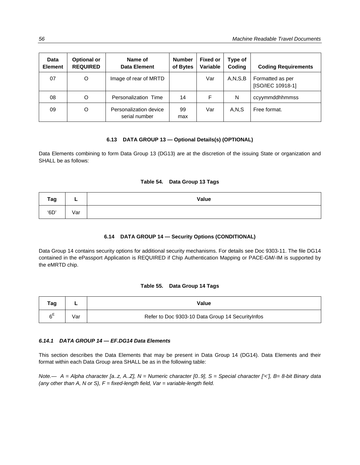| <b>Data</b><br><b>Element</b> | <b>Optional or</b><br><b>REQUIRED</b> | Name of<br>Data Element                 | <b>Number</b><br>of Bytes | <b>Fixed or</b><br>Variable | Type of<br>Coding | <b>Coding Requirements</b>            |
|-------------------------------|---------------------------------------|-----------------------------------------|---------------------------|-----------------------------|-------------------|---------------------------------------|
| 07                            | $\circ$                               | Image of rear of MRTD                   |                           | Var                         | A, N, S, B        | Formatted as per<br>[ISO/IEC 10918-1] |
| 08                            | O                                     | Personalization Time                    | 14                        | F                           | N                 | ccyymmddhhmmss                        |
| 09                            | O                                     | Personalization device<br>serial number | 99<br>max                 | Var                         | A,N,S             | Free format.                          |

## **6.13 DATA GROUP 13 — Optional Details(s) (OPTIONAL)**

Data Elements combining to form Data Group 13 (DG13) are at the discretion of the issuing State or organization and SHALL be as follows:

#### **Table 54. Data Group 13 Tags**

| Tag  |     | Value |
|------|-----|-------|
| '6D' | Var |       |

### **6.14 DATA GROUP 14 — Security Options (CONDITIONAL)**

Data Group 14 contains security options for additional security mechanisms. For details see Doc 9303-11. The file DG14 contained in the ePassport Application is REQUIRED if Chip Authentication Mapping or PACE-GM/-IM is supported by the eMRTD chip.

#### **Table 55. Data Group 14 Tags**

| Tag |     | Value                                             |
|-----|-----|---------------------------------------------------|
| ∼⊧  | √ar | Refer to Doc 9303-10 Data Group 14 Security Infos |

#### *6.14.1**DATA GROUP 14 — EF.DG14 Data Elements*

This section describes the Data Elements that may be present in Data Group 14 (DG14). Data Elements and their format within each Data Group area SHALL be as in the following table: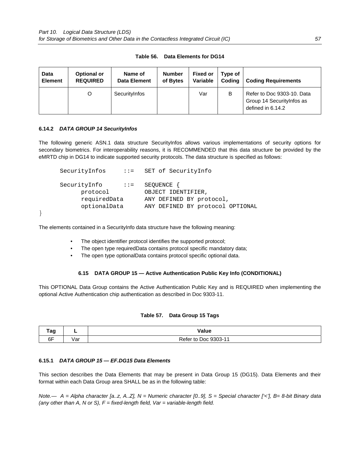| Data           | <b>Optional or</b> | Name of             | <b>Number</b> | <b>Fixed or</b> | Type of | <b>Coding Requirements</b>                                                    |
|----------------|--------------------|---------------------|---------------|-----------------|---------|-------------------------------------------------------------------------------|
| <b>Element</b> | <b>REQUIRED</b>    | <b>Data Element</b> | of Bytes      | Variable        | Codina  |                                                                               |
|                |                    | SecurityInfos       |               | Var             | в       | Refer to Doc 9303-10. Data<br>Group 14 Security Infos as<br>defined in 6.14.2 |

#### **Table 56. Data Elements for DG14**

#### **6.14.2** *DATA GROUP 14 SecurityInfos*

The following generic ASN.1 data structure SecurityInfos allows various implementations of security options for secondary biometrics. For interoperability reasons, it is RECOMMENDED that this data structure be provided by the eMRTD chip in DG14 to indicate supported security protocols. The data structure is specified as follows:

```
SecurityInfos ::= SET of SecurityInfo 
SecurityInfo ::= SEQUENCE {
      protocol OBJECT IDENTIFIER, 
      requiredData ANY DEFINED BY protocol, 
      optionalData ANY DEFINED BY protocol OPTIONAL
```
}

The elements contained in a SecurityInfo data structure have the following meaning:

- The object identifier protocol identifies the supported protocol;
- The open type requiredData contains protocol specific mandatory data;
- The open type optionalData contains protocol specific optional data.

#### **6.15 DATA GROUP 15 — Active Authentication Public Key Info (CONDITIONAL)**

This OPTIONAL Data Group contains the Active Authentication Public Key and is REQUIRED when implementing the optional Active Authentication chip authentication as described in Doc 9303-11.

#### **Table 57. Data Group 15 Tags**

| т^~ | _                    | Value<br>.              |
|-----|----------------------|-------------------------|
| 6F  | . $I \cap r$<br>v al | Doc 9303-11<br>Refer to |

#### **6.15.1** *DATA GROUP 15 — EF.DG15 Data Elements*

This section describes the Data Elements that may be present in Data Group 15 (DG15). Data Elements and their format within each Data Group area SHALL be as in the following table: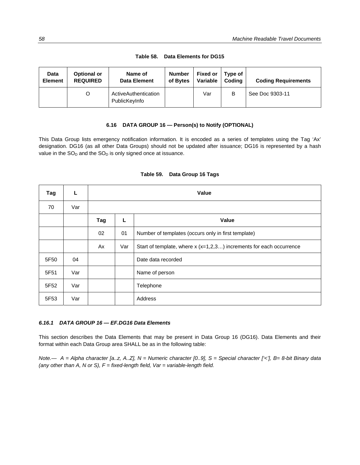| <b>Data</b>    | <b>Optional or</b> | Name of                               | <b>Number</b> | <b>Fixed or</b> | Type of | <b>Coding Requirements</b> |
|----------------|--------------------|---------------------------------------|---------------|-----------------|---------|----------------------------|
| <b>Element</b> | <b>REQUIRED</b>    | <b>Data Element</b>                   | of Bytes      | Variable        | Codina  |                            |
|                |                    | ActiveAuthentication<br>PublicKeyInfo |               | Var             | в       | See Doc 9303-11            |

**Table 58. Data Elements for DG15** 

#### **6.16 DATA GROUP 16 — Person(s) to Notify (OPTIONAL)**

This Data Group lists emergency notification information. It is encoded as a series of templates using the Tag 'Ax' designation. DG16 (as all other Data Groups) should not be updated after issuance; DG16 is represented by a hash value in the  $SO_D$  and the  $SO_D$  is only signed once at issuance.

| Tag  | L   | Value |     |                                                                      |  |  |  |
|------|-----|-------|-----|----------------------------------------------------------------------|--|--|--|
| 70   | Var |       |     |                                                                      |  |  |  |
|      |     | Tag   | L   | <b>Value</b>                                                         |  |  |  |
|      |     | 02    | 01  | Number of templates (occurs only in first template)                  |  |  |  |
|      |     | Ax    | Var | Start of template, where $x(x=1,2,3)$ increments for each occurrence |  |  |  |
| 5F50 | 04  |       |     | Date data recorded                                                   |  |  |  |
| 5F51 | Var |       |     | Name of person                                                       |  |  |  |
| 5F52 | Var |       |     | Telephone                                                            |  |  |  |
| 5F53 | Var |       |     | Address                                                              |  |  |  |

### **Table 59. Data Group 16 Tags**

#### *6.16.1**DATA GROUP 16 — EF.DG16 Data Elements*

This section describes the Data Elements that may be present in Data Group 16 (DG16). Data Elements and their format within each Data Group area SHALL be as in the following table: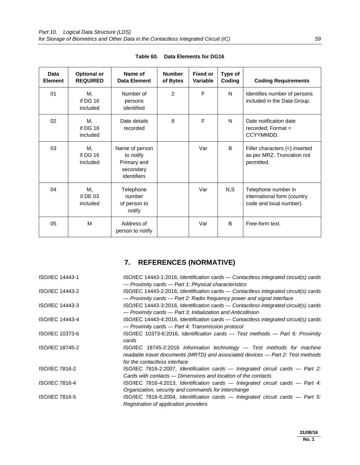| Data<br><b>Element</b> | <b>Optional or</b><br><b>REQUIRED</b> | Name of<br>Data Element                                                | <b>Number</b><br>of Bytes | <b>Fixed or</b><br>Variable | Type of<br>Coding | <b>Coding Requirements</b>                                                    |
|------------------------|---------------------------------------|------------------------------------------------------------------------|---------------------------|-----------------------------|-------------------|-------------------------------------------------------------------------------|
| 01                     | М,<br>if DG 16<br>included            | Number of<br>persons<br>identified                                     | 2                         | F                           | N                 | Identifies number of persons<br>included in the Data Group.                   |
| 02                     | М,<br>if DG 16<br>included            | Date details<br>recorded                                               | 8                         | F                           | N                 | Date notification date<br>$recorded; Format =$<br>CCYYMMDD.                   |
| 03                     | М,<br>if DG 16<br>included            | Name of person<br>to notify<br>Primary and<br>secondary<br>identifiers |                           | Var                         | B                 | Filler characters $(<)$ inserted<br>as per MRZ. Truncation not<br>permitted.  |
| 04                     | М,<br>if $DE$ 03<br>included          | Telephone<br>number<br>of person to<br>notify                          |                           | Var                         | N, S              | Telephone number in<br>international form (country<br>code and local number). |
| 05                     | M                                     | Address of<br>person to notify                                         |                           | Var                         | B                 | Free-form text.                                                               |

|  | Table 60. Data Elements for DG16 |  |
|--|----------------------------------|--|
|--|----------------------------------|--|

# **7. REFERENCES (NORMATIVE)**

| ISO/IEC 14443-1 | ISO/IEC 14443-1:2016, Identification cards — Contactless integrated circuit(s) cards           |
|-----------------|------------------------------------------------------------------------------------------------|
|                 | - Proximity cards - Part 1: Physical characteristics                                           |
| ISO/IEC 14443-2 | ISO/IEC 14443-2:2016, Identification cards — Contactless integrated circuit(s) cards           |
|                 | — Proximity cards — Part 2: Radio frequency power and signal interface                         |
| ISO/IEC 14443-3 | ISO/IEC 14443-3:2016, Identification cards — Contactless integrated circuit(s) cards           |
|                 | - Proximity cards - Part 3: Initialization and Anticollision                                   |
| ISO/IEC 14443-4 | ISO/IEC 14443-4:2016, Identification cards — Contactless integrated circuit(s) cards           |
|                 | - Proximity cards - Part 4: Transmission protocol                                              |
| ISO/IEC 10373-6 | ISO/IEC 10373-6:2016, Identification cards - Test methods - Part 6: Proximity                  |
|                 | cards                                                                                          |
| ISO/IEC 18745-2 | $ISO/IEC$ 18745-2:2016 Information technology $-$ Test methods for machine                     |
|                 | readable travel documents (MRTD) and associated devices - Part 2: Test methods                 |
|                 | for the contactless interface                                                                  |
| ISO/IEC 7816-2  | ISO/IEC 7816-2:2007, Identification cards - Integrated circuit cards - Part 2:                 |
|                 | Cards with contacts — Dimensions and location of the contacts                                  |
| ISO/IEC 7816-4  | $\text{ISO}/\text{IEC}$ 7816-4:2013, Identification cards — Integrated circuit cards — Part 4: |
|                 | Organization, security and commands for interchange                                            |
| ISO/IEC 7816-5  | ISO/IEC 7816-5:2004, Identification cards $-$ Integrated circuit cards $-$ Part 5:             |
|                 | Registration of application providers                                                          |
|                 |                                                                                                |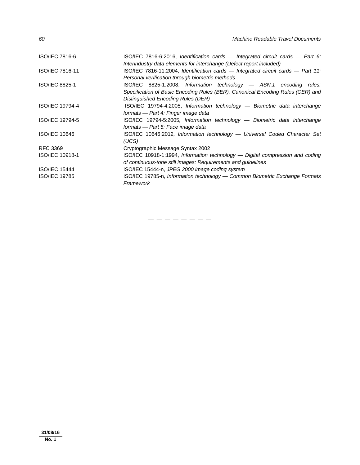| ISO/IEC 7816-6        | $ISO/IEC$ 7816-6:2016, Identification cards — Integrated circuit cards — Part 6:<br>Interindustry data elements for interchange (Defect report included)                                     |
|-----------------------|----------------------------------------------------------------------------------------------------------------------------------------------------------------------------------------------|
| ISO/IEC 7816-11       | $ISO/IEC$ 7816-11:2004, Identification cards — Integrated circuit cards — Part 11:<br>Personal verification through biometric methods                                                        |
| <b>ISO/IEC 8825-1</b> | ISO/IEC 8825-1:2008, Information technology - ASN.1 encoding rules:<br>Specification of Basic Encoding Rules (BER), Canonical Encoding Rules (CER) and<br>Distinguished Encoding Rules (DER) |
| ISO/IEC 19794-4       | ISO/IEC 19794-4:2005, Information technology — Biometric data interchange<br>formats - Part 4: Finger image data                                                                             |
| ISO/IEC 19794-5       | ISO/IEC 19794-5:2005, Information technology - Biometric data interchange<br>formats — Part 5: Face image data                                                                               |
| <b>ISO/IEC 10646</b>  | ISO/IEC 10646:2012, Information technology — Universal Coded Character Set<br>(UCS)                                                                                                          |
| RFC 3369              | Cryptographic Message Syntax 2002                                                                                                                                                            |
| ISO/IEC 10918-1       | ISO/IEC 10918-1:1994, Information technology — Digital compression and coding<br>of continuous-tone still images: Requirements and quidelines                                                |
| <b>ISO/IEC 15444</b>  | ISO/IEC 15444-n, JPEG 2000 image coding system                                                                                                                                               |
| <b>ISO/IEC 19785</b>  | ISO/IEC 19785-n, Information technology — Common Biometric Exchange Formats<br>Framework                                                                                                     |

 $-$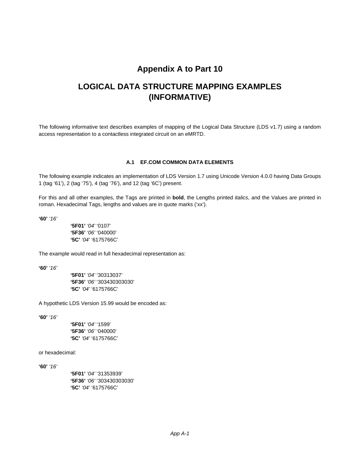## **Appendix A to Part 10**

## **LOGICAL DATA STRUCTURE MAPPING EXAMPLES (INFORMATIVE)**

The following informative text describes examples of mapping of the Logical Data Structure (LDS v1.7) using a random access representation to a contactless integrated circuit on an eMRTD.

#### **A.1 EF.COM COMMON DATA ELEMENTS**

The following example indicates an implementation of LDS Version 1.7 using Unicode Version 4.0.0 having Data Groups 1 (tag '61'), 2 (tag '75'), 4 (tag '76'), and 12 (tag '6C') present.

For this and all other examples, the Tags are printed in **bold**, the Lengths printed *italics*, and the Values are printed in roman. Hexadecimal Tags, lengths and values are in quote marks ('xx').

**'60'** *'16'*

**'5F01'** *'04'* '0107' **'5F36'** *'06'* '040000' **'5C'** *'04'* '6175766C'

The example would read in full hexadecimal representation as:

**'60'** *'16'*

**'5F01'** *'04'* '30313037' **'5F36'** *'06'* '303430303030' **'5C'** *'04'* '6175766C'

A hypothetic LDS Version 15.99 would be encoded as:

**'60'** *'16'*

**'5F01'** *'04'* '1599' **'5F36'** *'06'* '040000' **'5C'** *'04'* '6175766C'

or hexadecimal:

**'60'** *'16'*

**'5F01'** *'04'* '31353939' **'5F36'** *'06'* '303430303030' **'5C'** *'04'* '6175766C'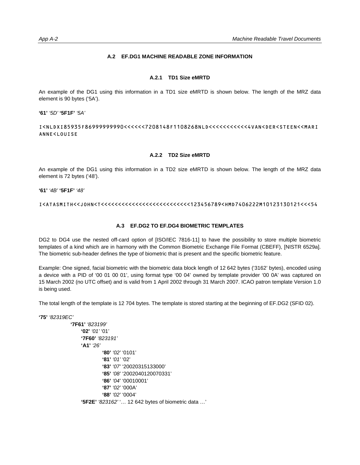## **A.2 EF.DG1 MACHINE READABLE ZONE INFORMATION**

#### **A.2.1 TD1 Size eMRTD**

An example of the DG1 using this information in a TD1 size eMRTD is shown below. The length of the MRZ data element is 90 bytes ('5A').

**'61'** *'5D'* **'5F1F'** *'5A'* 

I<NLDXI85935F86999999990<<<<<<7208148F1108268NLD<<<<<<<<<<<4VAN<DER<STEEN<<MARI ANNE<LOUISE

#### **A.2.2 TD2 Size eMRTD**

An example of the DG1 using this information in a TD2 size eMRTD is shown below. The length of the MRZ data element is 72 bytes ('48').

**'61'** *'4B'* **'5F1F'** *'48'*

I<ATASMITH<<JOHN<T<<<<<<<<<<<<<<<<<<<<<<<<<<123456789<HMD7406222M10123130121<<<54

#### **A.3 EF.DG2 TO EF.DG4 BIOMETRIC TEMPLATES**

DG2 to DG4 use the nested off-card option of [ISO/IEC 7816-11] to have the possibility to store multiple biometric templates of a kind which are in harmony with the Common Biometric Exchange File Format (CBEFF), [NISTR 6529a]. The biometric sub-header defines the type of biometric that is present and the specific biometric feature.

Example: One signed, facial biometric with the biometric data block length of 12 642 bytes ('3162' bytes), encoded using a device with a PID of '00 01 00 01', using format type '00 04' owned by template provider '00 0A' was captured on 15 March 2002 (no UTC offset) and is valid from 1 April 2002 through 31 March 2007. ICAO patron template Version 1.0 is being used.

The total length of the template is 12 704 bytes. The template is stored starting at the beginning of EF.DG2 (SFID 02).

```
'75' '82319EC'
```

```
'7F61' '823199' 
     '02' '01' '01' 
     '7F60' '823191'
     'A1' '26'
                '80' '02' '0101' 
               '81' '01' '02' 
               '83' '07' '20020315133000' 
               '85' '08' '2002040120070331' 
               '86' '04' '00010001' 
               '87' '02' '000A' 
               '88' '02' '0004' 
      '5F2E' '823162' '… 12 642 bytes of biometric data …'
```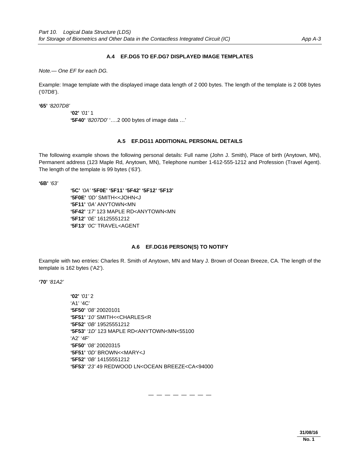#### **A.4 EF.DG5 TO EF.DG7 DISPLAYED IMAGE TEMPLATES**

*Note.— One EF for each DG.* 

Example: Image template with the displayed image data length of 2 000 bytes. The length of the template is 2 008 bytes ('07D8').

**'65'** *'8207D8'*

```
'02' '01' 1 
'5F40' '8207D0' '….2 000 bytes of image data …'
```
#### **A.5 EF.DG11 ADDITIONAL PERSONAL DETAILS**

The following example shows the following personal details: Full name (John J. Smith), Place of birth (Anytown, MN), Permanent address (123 Maple Rd, Anytown, MN), Telephone number 1-612-555-1212 and Profession (Travel Agent). The length of the template is 99 bytes (*'63'*).

**'6B'** *'63'*

**'5C'** *'0A'* **'5F0E' '5F11' '5F42' '5F12' '5F13' '5F0E'** *'0D'* SMITH<<JOHN<J **'5F11'** *'0A'* ANYTOWN<MN **'5F42'** *'17'* 123 MAPLE RD<ANYTOWN<MN **'5F12'** *'0E'* 16125551212 **'5F13'** *'0C'* TRAVEL<AGENT

## **A.6 EF.DG16 PERSON(S) TO NOTIFY**

Example with two entries: Charles R. Smith of Anytown, MN and Mary J. Brown of Ocean Breeze, CA. The length of the template is 162 bytes ('A2').

**'70'** *'81A2'*

**'02'** *'01'* 2 'A1' '4C' **'5F50'** *'08'* 20020101 **'5F51'** *'10'* SMITH<<CHARLES<R **'5F52'** *'0B'* 19525551212 **'5F53'** *'1D'* 123 MAPLE RD<ANYTOWN<MN<55100 'A2' '4F' **'5F50'** *'08'* 20020315 **'5F51'** *'0D'* BROWN<<MARY<J **'5F52'** *'0B'* 14155551212 **'5F53'** *'23'* 49 REDWOOD LN<OCEAN BREEZE<CA<94000

— — — — — — — —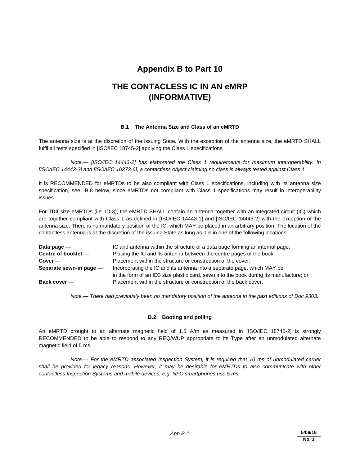# **Appendix B to Part 10**

# **THE CONTACLESS IC IN AN eMRP (INFORMATIVE)**

## **B.1 The Antenna Size and Class of an eMRTD**

The antenna size is at the discretion of the issuing State. With the exception of the antenna size, the eMRTD SHALL fulfil all tests specified in [ISO/IEC 18745-2] applying the Class 1 specifications.

*Note.— [ISO/IEC 14443-2] has elaborated the Class 1 requirements for maximum interoperability. In [ISO/IEC 14443-2] and [ISO/IEC 10373-6], a contactless object claiming no class is always tested against Class 1.* 

It is RECOMMENDED for eMRTDs to be also compliant with Class 1 specifications, including with its antenna size specification, see B.8 below, since eMRTDs not compliant with Class 1 specifications may result in interoperability issues.

For **TD3** size eMRTDs (i.e. ID-3), the eMRTD SHALL contain an antenna together with an integrated circuit (IC) which are together compliant with Class 1 as defined in [ISO/IEC 14443-1] and [ISO/IEC 14443-2] with the exception of the antenna size. There is no mandatory position of the IC, which MAY be placed in an arbitrary position. The location of the contactless antenna is at the discretion of the issuing State as long as it is in one of the following locations:

| Data page $-$           | IC and antenna within the structure of a data page forming an internal page;           |
|-------------------------|----------------------------------------------------------------------------------------|
| Centre of booklet -     | Placing the IC and its antenna between the centre pages of the book;                   |
| $Cover -$               | Placement within the structure or construction of the cover;                           |
| Separate sewn-in page - | Incorporating the IC and its antenna into a separate page, which MAY be                |
|                         | in the form of an ID3 size plastic card, sewn into the book during its manufacture; or |
| Back cover -            | Placement within the structure or construction of the back cover.                      |

 *Note.— There had previously been no mandatory position of the antenna in the past editions of Doc 9303.*

# **B.2 Booting and polling**

An eMRTD brought to an alternate magnetic field of 1.5 A/m as measured in [ISO/IEC 18745-2] is strongly RECOMMENDED to be able to respond to any REQ/WUP appropriate to its Type after an unmodulated alternate magnetic field of 5 ms.

*Note.— For the eMRTD associated Inspection System, it is required that 10 ms of unmodulated carrier shall be provided for legacy reasons. However, it may be desirable for eMRTDs to also communicate with other contactless Inspection Systems and mobile devices, e.g. NFC smartphones use 5 ms*.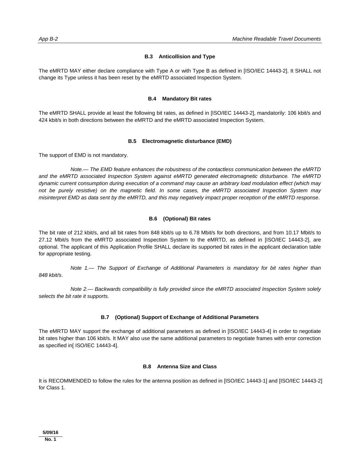## **B.3 Anticollision and Type**

The eMRTD MAY either declare compliance with Type A or with Type B as defined in [ISO/IEC 14443-2]. It SHALL not change its Type unless it has been reset by the eMRTD associated Inspection System.

### **B.4 Mandatory Bit rates**

The eMRTD SHALL provide at least the following bit rates, as defined in [ISO/IEC 14443-2], mandatorily: 106 kbit/s and 424 kbit/s in both directions between the eMRTD and the eMRTD associated Inspection System.

#### **B.5 Electromagnetic disturbance (EMD)**

The support of EMD is not mandatory.

*Note.— The EMD feature enhances the robustness of the contactless communication between the eMRTD and the eMRTD associated Inspection System against eMRTD generated electromagnetic disturbance. The eMRTD dynamic current consumption during execution of a command may cause an arbitrary load modulation effect (which may not be purely resistive) on the magnetic field. In some cases, the eMRTD associated Inspection System may misinterpret EMD as data sent by the eMRTD, and this may negatively impact proper reception of the eMRTD response*.

### **B.6 (Optional) Bit rates**

The bit rate of 212 kbit/s, and all bit rates from 848 kbit/s up to 6.78 Mbit/s for both directions, and from 10.17 Mbit/s to 27.12 Mbit/s from the eMRTD associated Inspection System to the eMRTD, as defined in [ISO/IEC 14443-2], are optional. The applicant of this Application Profile SHALL declare its supported bit rates in the applicant declaration table for appropriate testing.

*Note 1.— The Support of Exchange of Additional Parameters is mandatory for bit rates higher than 848 kbit/s*.

*Note 2.— Backwards compatibility is fully provided since the eMRTD associated Inspection System solely selects the bit rate it supports.*

### **B.7 (Optional) Support of Exchange of Additional Parameters**

The eMRTD MAY support the exchange of additional parameters as defined in [ISO/IEC 14443-4] in order to negotiate bit rates higher than 106 kbit/s. It MAY also use the same additional parameters to negotiate frames with error correction as specified in[ ISO/IEC 14443-4].

### **B.8 Antenna Size and Class**

It is RECOMMENDED to follow the rules for the antenna position as defined in [ISO/IEC 14443-1] and [ISO/IEC 14443-2] for Class 1.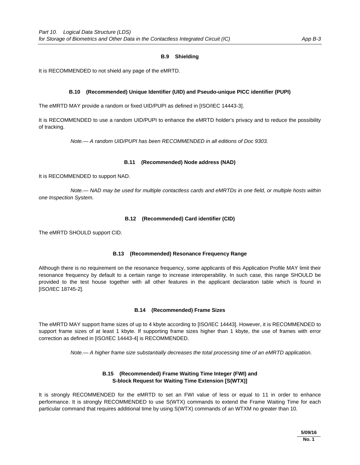## **B.9 Shielding**

It is RECOMMENDED to not shield any page of the eMRTD.

## **B.10 (Recommended) Unique Identifier (UID) and Pseudo-unique PICC identifier (PUPI)**

The eMRTD MAY provide a random or fixed UID/PUPI as defined in [ISO/IEC 14443-3].

It is RECOMMENDED to use a random UID/PUPI to enhance the eMRTD holder's privacy and to reduce the possibility of tracking.

*Note.— A random UID/PUPI has been RECOMMENDED in all editions of Doc 9303.* 

## **B.11 (Recommended) Node address (NAD)**

It is RECOMMENDED to support NAD.

*Note.— NAD may be used for multiple contactless cards and eMRTDs in one field, or multiple hosts within one Inspection System.* 

### **B.12 (Recommended) Card identifier (CID)**

The eMRTD SHOULD support CID.

### **B.13 (Recommended) Resonance Frequency Range**

Although there is no requirement on the resonance frequency, some applicants of this Application Profile MAY limit their resonance frequency by default to a certain range to increase interoperability. In such case, this range SHOULD be provided to the test house together with all other features in the applicant declaration table which is found in [ISO/IEC 18745-2].

### **B.14 (Recommended) Frame Sizes**

The eMRTD MAY support frame sizes of up to 4 kbyte according to [ISO/IEC 14443]. However, it is RECOMMENDED to support frame sizes of at least 1 kbyte. If supporting frame sizes higher than 1 kbyte, the use of frames with error correction as defined in [ISO/IEC 14443-4] is RECOMMENDED.

*Note.— A higher frame size substantially decreases the total processing time of an eMRTD application*.

# **B.15 (Recommended) Frame Waiting Time Integer (FWI) and S-block Request for Waiting Time Extension [S(WTX)]**

It is strongly RECOMMENDED for the eMRTD to set an FWI value of less or equal to 11 in order to enhance performance. It is strongly RECOMMENDED to use S(WTX) commands to extend the Frame Waiting Time for each particular command that requires additional time by using S(WTX) commands of an WTXM no greater than 10.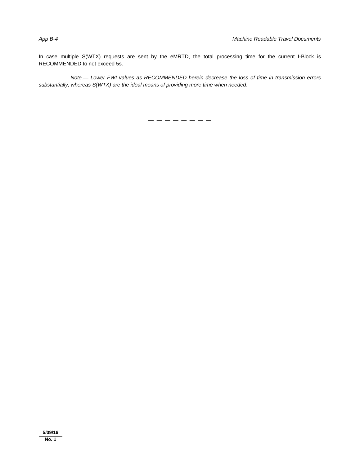In case multiple S(WTX) requests are sent by the eMRTD, the total processing time for the current I-Block is RECOMMENDED to not exceed 5s.

*Note.— Lower FWI values as RECOMMENDED herein decrease the loss of time in transmission errors substantially, whereas S(WTX) are the ideal means of providing more time when needed*.

— — — — — — — —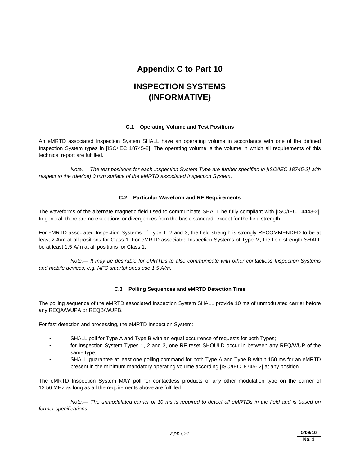# **Appendix C to Part 10**

# **INSPECTION SYSTEMS (INFORMATIVE)**

## **C.1 Operating Volume and Test Positions**

An eMRTD associated Inspection System SHALL have an operating volume in accordance with one of the defined Inspection System types in [ISO/IEC 18745-2]. The operating volume is the volume in which all requirements of this technical report are fulfilled.

*Note.— The test positions for each Inspection System Type are further specified in [ISO/IEC 18745-2] with respect to the (device) 0 mm surface of the eMRTD associated Inspection System*.

# **C.2 Particular Waveform and RF Requirements**

The waveforms of the alternate magnetic field used to communicate SHALL be fully compliant with [ISO/IEC 14443-2]. In general, there are no exceptions or divergences from the basic standard, except for the field strength.

For eMRTD associated Inspection Systems of Type 1, 2 and 3, the field strength is strongly RECOMMENDED to be at least 2 A/m at all positions for Class 1. For eMRTD associated Inspection Systems of Type M, the field strength SHALL be at least 1.5 A/m at all positions for Class 1.

*Note.— It may be desirable for eMRTDs to also communicate with other contactless Inspection Systems and mobile devices, e.g. NFC smartphones use 1.5 A/m*.

# **C.3 Polling Sequences and eMRTD Detection Time**

The polling sequence of the eMRTD associated Inspection System SHALL provide 10 ms of unmodulated carrier before any REQA/WUPA or REQB/WUPB.

For fast detection and processing, the eMRTD Inspection System:

- SHALL poll for Type A and Type B with an equal occurrence of requests for both Types;
- for Inspection System Types 1, 2 and 3, one RF reset SHOULD occur in between any REQ/WUP of the same type;
- SHALL guarantee at least one polling command for both Type A and Type B within 150 ms for an eMRTD present in the minimum mandatory operating volume according [ISO/IEC !8745- 2] at any position.

The eMRTD Inspection System MAY poll for contactless products of any other modulation type on the carrier of 13.56 MHz as long as all the requirements above are fulfilled.

*Note.— The unmodulated carrier of 10 ms is required to detect all eMRTDs in the field and is based on former specifications.*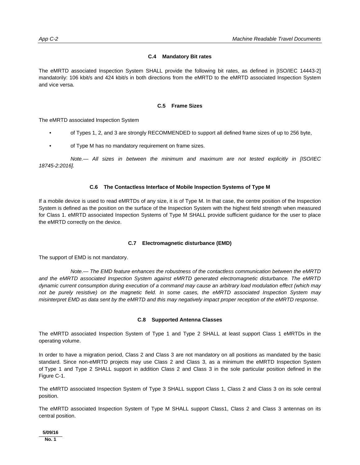## **C.4 Mandatory Bit rates**

The eMRTD associated Inspection System SHALL provide the following bit rates, as defined in [ISO/IEC 14443-2] mandatorily: 106 kbit/s and 424 kbit/s in both directions from the eMRTD to the eMRTD associated Inspection System and vice versa.

## **C.5 Frame Sizes**

The eMRTD associated Inspection System

- of Types 1, 2, and 3 are strongly RECOMMENDED to support all defined frame sizes of up to 256 byte,
- of Type M has no mandatory requirement on frame sizes.

*Note.— All sizes in between the minimum and maximum are not tested explicitly in [ISO/IEC 18745-2:2016].* 

## **C.6 The Contactless Interface of Mobile Inspection Systems of Type M**

If a mobile device is used to read eMRTDs of any size, it is of Type M. In that case, the centre position of the Inspection System is defined as the position on the surface of the Inspection System with the highest field strength when measured for Class 1. eMRTD associated Inspection Systems of Type M SHALL provide sufficient guidance for the user to place the eMRTD correctly on the device.

# **C.7 Electromagnetic disturbance (EMD)**

The support of EMD is not mandatory.

*Note.— The EMD feature enhances the robustness of the contactless communication between the eMRTD and the eMRTD associated Inspection System against eMRTD generated electromagnetic disturbance. The eMRTD dynamic current consumption during execution of a command may cause an arbitrary load modulation effect (which may not be purely resistive) on the magnetic field. In some cases, the eMRTD associated Inspection System may misinterpret EMD as data sent by the eMRTD and this may negatively impact proper reception of the eMRTD response*.

### **C.8 Supported Antenna Classes**

The eMRTD associated Inspection System of Type 1 and Type 2 SHALL at least support Class 1 eMRTDs in the operating volume.

In order to have a migration period, Class 2 and Class 3 are not mandatory on all positions as mandated by the basic standard. Since non-eMRTD projects may use Class 2 and Class 3, as a minimum the eMRTD Inspection System of Type 1 and Type 2 SHALL support in addition Class 2 and Class 3 in the sole particular position defined in the Figure C-1.

The eMRTD associated Inspection System of Type 3 SHALL support Class 1, Class 2 and Class 3 on its sole central position.

The eMRTD associated Inspection System of Type M SHALL support Class1, Class 2 and Class 3 antennas on its central position.

### **5/09/16**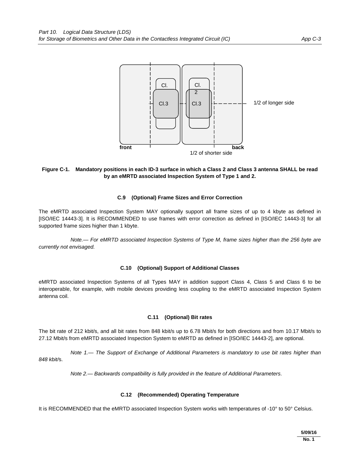

# **Figure C-1. Mandatory positions in each ID-3 surface in which a Class 2 and Class 3 antenna SHALL be read by an eMRTD associated Inspection System of Type 1 and 2.**

## **C.9 (Optional) Frame Sizes and Error Correction**

The eMRTD associated Inspection System MAY optionally support all frame sizes of up to 4 kbyte as defined in [ISO/IEC 14443-3]. It is RECOMMENDED to use frames with error correction as defined in [ISO/IEC 14443-3] for all supported frame sizes higher than 1 kbyte.

*Note.— For eMRTD associated Inspection Systems of Type M, frame sizes higher than the 256 byte are currently not envisaged.* 

### **C.10 (Optional) Support of Additional Classes**

eMRTD associated Inspection Systems of all Types MAY in addition support Class 4, Class 5 and Class 6 to be interoperable, for example, with mobile devices providing less coupling to the eMRTD associated Inspection System antenna coil.

### **C.11 (Optional) Bit rates**

The bit rate of 212 kbit/s, and all bit rates from 848 kbit/s up to 6.78 Mbit/s for both directions and from 10.17 Mbit/s to 27.12 Mbit/s from eMRTD associated Inspection System to eMRTD as defined in [ISO/IEC 14443-2], are optional.

*Note 1.— The Support of Exchange of Additional Parameters is mandatory to use bit rates higher than 848 kbit/*s.

*Note 2.— Backwards compatibility is fully provided in the feature of Additional Parameters*.

### **C.12 (Recommended) Operating Temperature**

It is RECOMMENDED that the eMRTD associated Inspection System works with temperatures of -10° to 50° Celsius.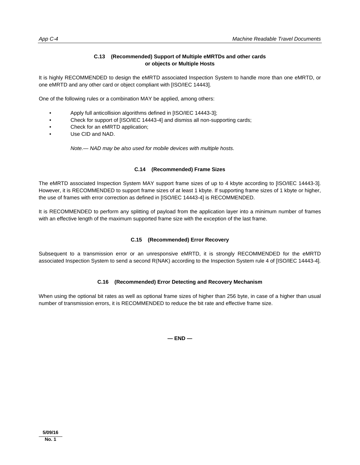# **C.13 (Recommended) Support of Multiple eMRTDs and other cards or objects or Multiple Hosts**

It is highly RECOMMENDED to design the eMRTD associated Inspection System to handle more than one eMRTD, or one eMRTD and any other card or object compliant with [ISO/IEC 14443].

One of the following rules or a combination MAY be applied, among others:

- Apply full anticollision algorithms defined in [ISO/IEC 14443-3];
- Check for support of [ISO/IEC 14443-4] and dismiss all non-supporting cards;
- Check for an eMRTD application;
- Use CID and NAD.

*Note.— NAD may be also used for mobile devices with multiple hosts*.

# **C.14 (Recommended) Frame Sizes**

The eMRTD associated Inspection System MAY support frame sizes of up to 4 kbyte according to [ISO/IEC 14443-3]. However, it is RECOMMENDED to support frame sizes of at least 1 kbyte. If supporting frame sizes of 1 kbyte or higher, the use of frames with error correction as defined in [ISO/IEC 14443-4] is RECOMMENDED.

It is RECOMMENDED to perform any splitting of payload from the application layer into a minimum number of frames with an effective length of the maximum supported frame size with the exception of the last frame.

# **C.15 (Recommended) Error Recovery**

Subsequent to a transmission error or an unresponsive eMRTD, it is strongly RECOMMENDED for the eMRTD associated Inspection System to send a second R(NAK) according to the Inspection System rule 4 of [ISO/IEC 14443-4].

# **C.16 (Recommended) Error Detecting and Recovery Mechanism**

When using the optional bit rates as well as optional frame sizes of higher than 256 byte, in case of a higher than usual number of transmission errors, it is RECOMMENDED to reduce the bit rate and effective frame size.

**— END —**